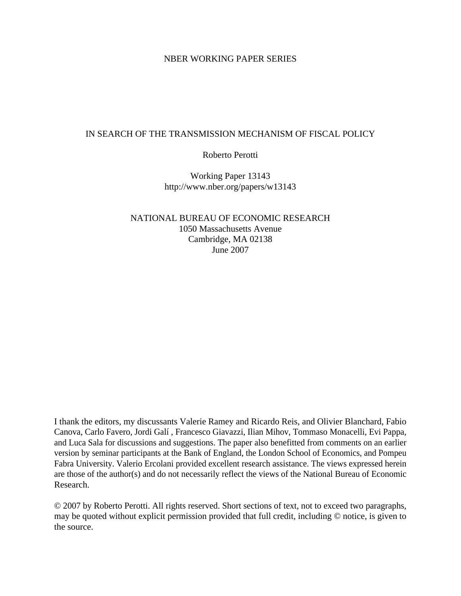#### NBER WORKING PAPER SERIES

#### IN SEARCH OF THE TRANSMISSION MECHANISM OF FISCAL POLICY

Roberto Perotti

Working Paper 13143 http://www.nber.org/papers/w13143

NATIONAL BUREAU OF ECONOMIC RESEARCH 1050 Massachusetts Avenue Cambridge, MA 02138 June 2007

I thank the editors, my discussants Valerie Ramey and Ricardo Reis, and Olivier Blanchard, Fabio Canova, Carlo Favero, Jordi Galí , Francesco Giavazzi, Ilian Mihov, Tommaso Monacelli, Evi Pappa, and Luca Sala for discussions and suggestions. The paper also benefitted from comments on an earlier version by seminar participants at the Bank of England, the London School of Economics, and Pompeu Fabra University. Valerio Ercolani provided excellent research assistance. The views expressed herein are those of the author(s) and do not necessarily reflect the views of the National Bureau of Economic Research.

© 2007 by Roberto Perotti. All rights reserved. Short sections of text, not to exceed two paragraphs, may be quoted without explicit permission provided that full credit, including © notice, is given to the source.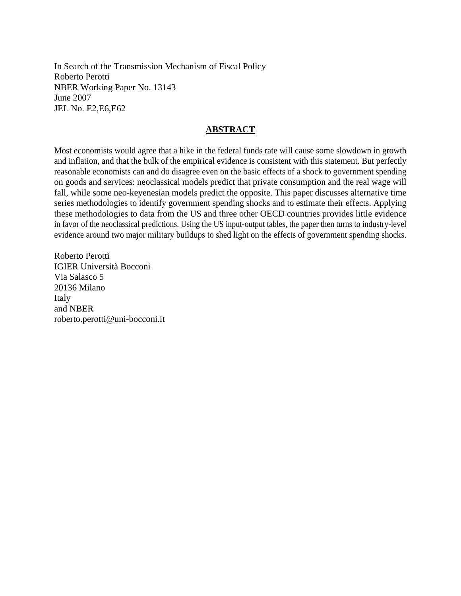In Search of the Transmission Mechanism of Fiscal Policy Roberto Perotti NBER Working Paper No. 13143 June 2007 JEL No. E2,E6,E62

#### **ABSTRACT**

Most economists would agree that a hike in the federal funds rate will cause some slowdown in growth and inflation, and that the bulk of the empirical evidence is consistent with this statement. But perfectly reasonable economists can and do disagree even on the basic effects of a shock to government spending on goods and services: neoclassical models predict that private consumption and the real wage will fall, while some neo-keyenesian models predict the opposite. This paper discusses alternative time series methodologies to identify government spending shocks and to estimate their effects. Applying these methodologies to data from the US and three other OECD countries provides little evidence in favor of the neoclassical predictions. Using the US input-output tables, the paper then turns to industry-level evidence around two major military buildups to shed light on the effects of government spending shocks.

Roberto Perotti IGIER Università Bocconi Via Salasco 5 20136 Milano Italy and NBER roberto.perotti@uni-bocconi.it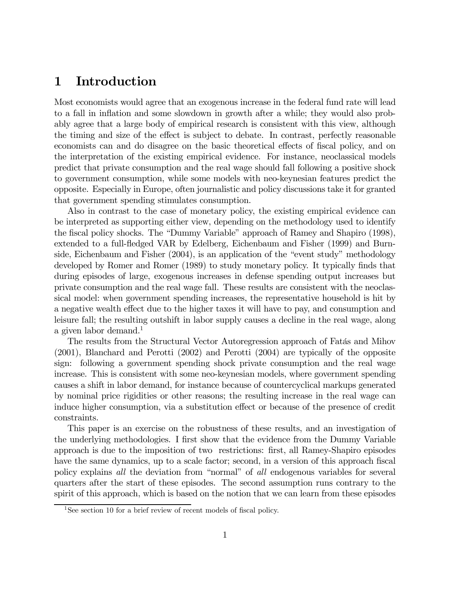## 1 Introduction

Most economists would agree that an exogenous increase in the federal fund rate will lead to a fall in inflation and some slowdown in growth after a while; they would also probably agree that a large body of empirical research is consistent with this view, although the timing and size of the effect is subject to debate. In contrast, perfectly reasonable economists can and do disagree on the basic theoretical effects of fiscal policy, and on the interpretation of the existing empirical evidence. For instance, neoclassical models predict that private consumption and the real wage should fall following a positive shock to government consumption, while some models with neo-keynesian features predict the opposite. Especially in Europe, often journalistic and policy discussions take it for granted that government spending stimulates consumption.

Also in contrast to the case of monetary policy, the existing empirical evidence can be interpreted as supporting either view, depending on the methodology used to identify the fiscal policy shocks. The "Dummy Variable" approach of Ramey and Shapiro (1998), extended to a full-fledged VAR by Edelberg, Eichenbaum and Fisher (1999) and Burnside, Eichenbaum and Fisher (2004), is an application of the "event study" methodology developed by Romer and Romer (1989) to study monetary policy. It typically finds that during episodes of large, exogenous increases in defense spending output increases but private consumption and the real wage fall. These results are consistent with the neoclassical model: when government spending increases, the representative household is hit by a negative wealth effect due to the higher taxes it will have to pay, and consumption and leisure fall; the resulting outshift in labor supply causes a decline in the real wage, along a given labor demand.<sup>1</sup>

The results from the Structural Vector Autoregression approach of Fatás and Mihov (2001), Blanchard and Perotti (2002) and Perotti (2004) are typically of the opposite sign: following a government spending shock private consumption and the real wage increase. This is consistent with some neo-keynesian models, where government spending causes a shift in labor demand, for instance because of countercyclical markups generated by nominal price rigidities or other reasons; the resulting increase in the real wage can induce higher consumption, via a substitution effect or because of the presence of credit constraints.

This paper is an exercise on the robustness of these results, and an investigation of the underlying methodologies. I first show that the evidence from the Dummy Variable approach is due to the imposition of two restrictions: first, all Ramey-Shapiro episodes have the same dynamics, up to a scale factor; second, in a version of this approach fiscal policy explains all the deviation from "normal" of all endogenous variables for several quarters after the start of these episodes. The second assumption runs contrary to the spirit of this approach, which is based on the notion that we can learn from these episodes

<sup>&</sup>lt;sup>1</sup>See section 10 for a brief review of recent models of fiscal policy.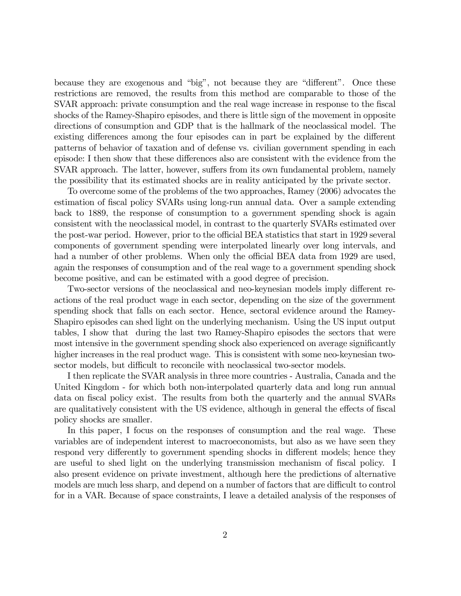because they are exogenous and "big", not because they are "different". Once these restrictions are removed, the results from this method are comparable to those of the SVAR approach: private consumption and the real wage increase in response to the fiscal shocks of the Ramey-Shapiro episodes, and there is little sign of the movement in opposite directions of consumption and GDP that is the hallmark of the neoclassical model. The existing differences among the four episodes can in part be explained by the different patterns of behavior of taxation and of defense vs. civilian government spending in each episode: I then show that these differences also are consistent with the evidence from the SVAR approach. The latter, however, suffers from its own fundamental problem, namely the possibility that its estimated shocks are in reality anticipated by the private sector.

To overcome some of the problems of the two approaches, Ramey (2006) advocates the estimation of fiscal policy SVARs using long-run annual data. Over a sample extending back to 1889, the response of consumption to a government spending shock is again consistent with the neoclassical model, in contrast to the quarterly SVARs estimated over the post-war period. However, prior to the official BEA statistics that start in 1929 several components of government spending were interpolated linearly over long intervals, and had a number of other problems. When only the official BEA data from 1929 are used, again the responses of consumption and of the real wage to a government spending shock become positive, and can be estimated with a good degree of precision.

Two-sector versions of the neoclassical and neo-keynesian models imply different reactions of the real product wage in each sector, depending on the size of the government spending shock that falls on each sector. Hence, sectoral evidence around the Ramey-Shapiro episodes can shed light on the underlying mechanism. Using the US input output tables, I show that during the last two Ramey-Shapiro episodes the sectors that were most intensive in the government spending shock also experienced on average significantly higher increases in the real product wage. This is consistent with some neo-keynesian twosector models, but difficult to reconcile with neoclassical two-sector models.

I then replicate the SVAR analysis in three more countries - Australia, Canada and the United Kingdom - for which both non-interpolated quarterly data and long run annual data on fiscal policy exist. The results from both the quarterly and the annual SVARs are qualitatively consistent with the US evidence, although in general the effects of fiscal policy shocks are smaller.

In this paper, I focus on the responses of consumption and the real wage. These variables are of independent interest to macroeconomists, but also as we have seen they respond very differently to government spending shocks in different models; hence they are useful to shed light on the underlying transmission mechanism of fiscal policy. I also present evidence on private investment, although here the predictions of alternative models are much less sharp, and depend on a number of factors that are difficult to control for in a VAR. Because of space constraints, I leave a detailed analysis of the responses of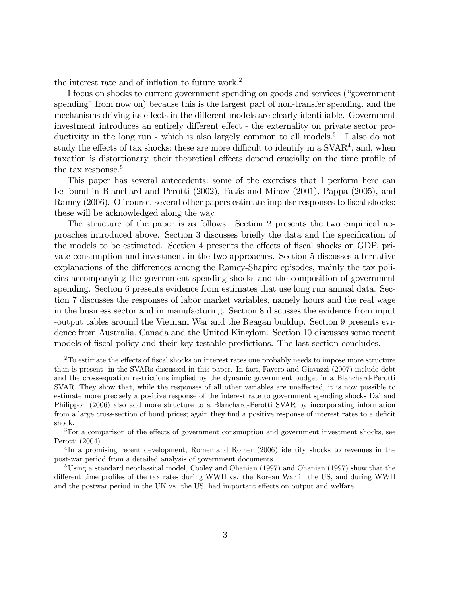the interest rate and of inflation to future work.<sup>2</sup>

I focus on shocks to current government spending on goods and services ("government spending" from now on) because this is the largest part of non-transfer spending, and the mechanisms driving its effects in the different models are clearly identifiable. Government investment introduces an entirely different effect - the externality on private sector productivity in the long run - which is also largely common to all models.<sup>3</sup> I also do not study the effects of tax shocks: these are more difficult to identify in a  $\text{SVAR}^4$ , and, when taxation is distortionary, their theoretical effects depend crucially on the time profile of the tax response.<sup>5</sup>

This paper has several antecedents: some of the exercises that I perform here can be found in Blanchard and Perotti (2002), Fatás and Mihov (2001), Pappa (2005), and Ramey (2006). Of course, several other papers estimate impulse responses to fiscal shocks: these will be acknowledged along the way.

The structure of the paper is as follows. Section 2 presents the two empirical approaches introduced above. Section 3 discusses briefly the data and the specification of the models to be estimated. Section 4 presents the effects of fiscal shocks on GDP, private consumption and investment in the two approaches. Section 5 discusses alternative explanations of the differences among the Ramey-Shapiro episodes, mainly the tax policies accompanying the government spending shocks and the composition of government spending. Section 6 presents evidence from estimates that use long run annual data. Section 7 discusses the responses of labor market variables, namely hours and the real wage in the business sector and in manufacturing. Section 8 discusses the evidence from input -output tables around the Vietnam War and the Reagan buildup. Section 9 presents evidence from Australia, Canada and the United Kingdom. Section 10 discusses some recent models of fiscal policy and their key testable predictions. The last section concludes.

<sup>2</sup>To estimate the effects of fiscal shocks on interest rates one probably needs to impose more structure than is present in the SVARs discussed in this paper. In fact, Favero and Giavazzi (2007) include debt and the cross-equation restrictions implied by the dynamic government budget in a Blanchard-Perotti SVAR. They show that, while the responses of all other variables are unaffected, it is now possible to estimate more precisely a positive response of the interest rate to government spending shocks Dai and Philippon (2006) also add more structure to a Blanchard-Perotti SVAR by incorporating information from a large cross-section of bond prices; again they find a positive response of interest rates to a deficit shock.

<sup>&</sup>lt;sup>3</sup>For a comparison of the effects of government consumption and government investment shocks, see Perotti (2004).

<sup>4</sup> In a promising recent development, Romer and Romer (2006) identify shocks to revenues in the post-war period from a detailed analysis of government documents.

<sup>5</sup>Using a standard neoclassical model, Cooley and Ohanian (1997) and Ohanian (1997) show that the different time profiles of the tax rates during WWII vs. the Korean War in the US, and during WWII and the postwar period in the UK vs. the US, had important effects on output and welfare.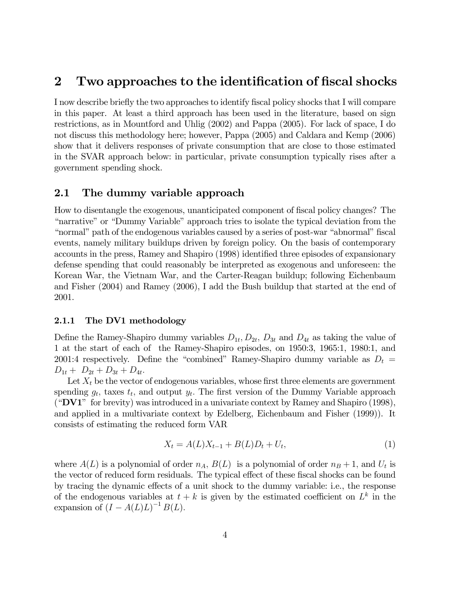## 2 Two approaches to the identification of fiscal shocks

I now describe briefly the two approaches to identify fiscal policy shocks that I will compare in this paper. At least a third approach has been used in the literature, based on sign restrictions, as in Mountford and Uhlig (2002) and Pappa (2005). For lack of space, I do not discuss this methodology here; however, Pappa (2005) and Caldara and Kemp (2006) show that it delivers responses of private consumption that are close to those estimated in the SVAR approach below: in particular, private consumption typically rises after a government spending shock.

### 2.1 The dummy variable approach

How to disentangle the exogenous, unanticipated component of fiscal policy changes? The "narrative" or "Dummy Variable" approach tries to isolate the typical deviation from the "normal" path of the endogenous variables caused by a series of post-war "abnormal" fiscal events, namely military buildups driven by foreign policy. On the basis of contemporary accounts in the press, Ramey and Shapiro (1998) identified three episodes of expansionary defense spending that could reasonably be interpreted as exogenous and unforeseen: the Korean War, the Vietnam War, and the Carter-Reagan buildup; following Eichenbaum and Fisher (2004) and Ramey (2006), I add the Bush buildup that started at the end of 2001.

#### 2.1.1 The DV1 methodology

Define the Ramey-Shapiro dummy variables  $D_{1t}$ ,  $D_{2t}$ ,  $D_{3t}$  and  $D_{4t}$  as taking the value of 1 at the start of each of the Ramey-Shapiro episodes, on 1950:3, 1965:1, 1980:1, and 2001:4 respectively. Define the "combined" Ramey-Shapiro dummy variable as  $D_t =$  $D_{1t} + D_{2t} + D_{3t} + D_{4t}.$ 

Let  $X_t$  be the vector of endogenous variables, whose first three elements are government spending  $g_t$ , taxes  $t_t$ , and output  $y_t$ . The first version of the Dummy Variable approach ("DV1" for brevity) was introduced in a univariate context by Ramey and Shapiro (1998), and applied in a multivariate context by Edelberg, Eichenbaum and Fisher (1999)). It consists of estimating the reduced form VAR

$$
X_t = A(L)X_{t-1} + B(L)D_t + U_t,
$$
\n(1)

where  $A(L)$  is a polynomial of order  $n_A$ ,  $B(L)$  is a polynomial of order  $n_B + 1$ , and  $U_t$  is the vector of reduced form residuals. The typical effect of these fiscal shocks can be found by tracing the dynamic effects of a unit shock to the dummy variable: i.e., the response of the endogenous variables at  $t + k$  is given by the estimated coefficient on  $L^k$  in the expansion of  $(I - A(L)L)^{-1} B(L)$ .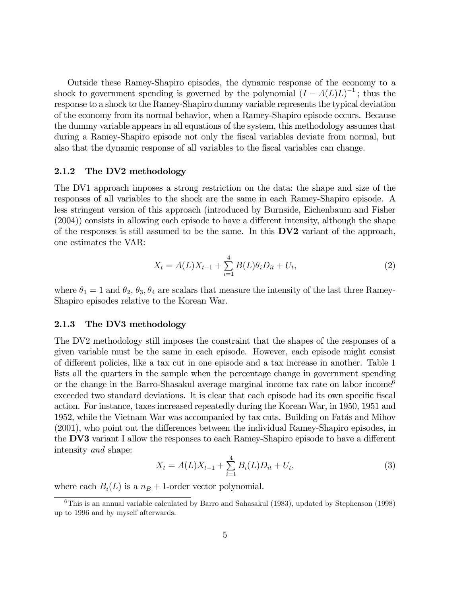Outside these Ramey-Shapiro episodes, the dynamic response of the economy to a shock to government spending is governed by the polynomial  $(I - A(L)L)^{-1}$ ; thus the response to a shock to the Ramey-Shapiro dummy variable represents the typical deviation of the economy from its normal behavior, when a Ramey-Shapiro episode occurs. Because the dummy variable appears in all equations of the system, this methodology assumes that during a Ramey-Shapiro episode not only the fiscal variables deviate from normal, but also that the dynamic response of all variables to the fiscal variables can change.

#### 2.1.2 The DV2 methodology

The DV1 approach imposes a strong restriction on the data: the shape and size of the responses of all variables to the shock are the same in each Ramey-Shapiro episode. A less stringent version of this approach (introduced by Burnside, Eichenbaum and Fisher (2004)) consists in allowing each episode to have a different intensity, although the shape of the responses is still assumed to be the same. In this  $D<sup>V2</sup>$  variant of the approach, one estimates the VAR:

$$
X_t = A(L)X_{t-1} + \sum_{i=1}^{4} B(L)\theta_i D_{it} + U_t,
$$
\n(2)

where  $\theta_1 = 1$  and  $\theta_2$ ,  $\theta_3$ ,  $\theta_4$  are scalars that measure the intensity of the last three Ramey-Shapiro episodes relative to the Korean War.

#### 2.1.3 The DV3 methodology

The DV2 methodology still imposes the constraint that the shapes of the responses of a given variable must be the same in each episode. However, each episode might consist of different policies, like a tax cut in one episode and a tax increase in another. Table 1 lists all the quarters in the sample when the percentage change in government spending or the change in the Barro-Shasakul average marginal income tax rate on labor income<sup>6</sup> exceeded two standard deviations. It is clear that each episode had its own specific fiscal action. For instance, taxes increased repeatedly during the Korean War, in 1950, 1951 and 1952, while the Vietnam War was accompanied by tax cuts. Building on Fatás and Mihov (2001), who point out the differences between the individual Ramey-Shapiro episodes, in the DV3 variant I allow the responses to each Ramey-Shapiro episode to have a different intensity and shape:

$$
X_t = A(L)X_{t-1} + \sum_{i=1}^{4} B_i(L)D_{it} + U_t,
$$
\n(3)

where each  $B_i(L)$  is a  $n_B + 1$ -order vector polynomial.

<sup>6</sup>This is an annual variable calculated by Barro and Sahasakul (1983), updated by Stephenson (1998) up to 1996 and by myself afterwards.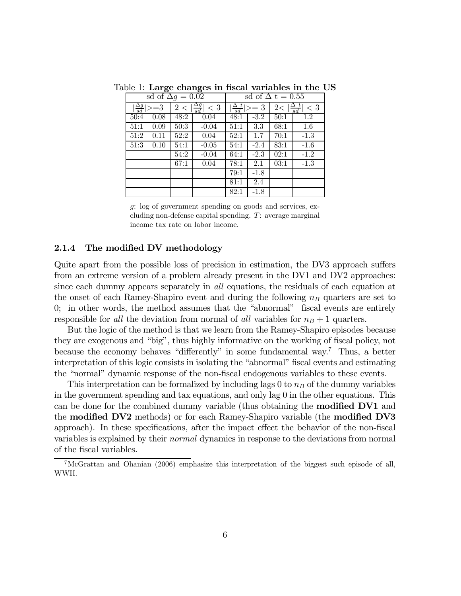|                                               | sd of $\Delta g = 0.02$ |                             |         | sd of $\Delta t = 0.55$                                                     |        |      |         |  |
|-----------------------------------------------|-------------------------|-----------------------------|---------|-----------------------------------------------------------------------------|--------|------|---------|--|
| $\vert \frac{\Delta g}{sd} \vert \rangle = 3$ |                         | $2 <  \frac{\Delta g}{sd} $ | $<$ 3   | $\vert \frac{\Delta_- t}{sd}\vert \rangle = 3$<br>$2< \frac{\Delta t}{sd} $ |        |      | $< 3\,$ |  |
| 50:4                                          | 0.08                    | 48:2                        | 0.04    | 48:1                                                                        | $-3.2$ | 50:1 | 1.2     |  |
| 51:1                                          | 0.09                    | $\overline{50:}3$           | $-0.04$ | 51:1                                                                        | 3.3    | 68:1 | 1.6     |  |
| 51:2                                          | 0.11                    | $\overline{52:}2$           | 0.04    | 52:1                                                                        | 1.7    | 70:1 | $-1.3$  |  |
| $\overline{51:3}$                             | 0.10                    | 54:1                        | $-0.05$ | 54:1                                                                        | $-2.4$ | 83:1 | $-1.6$  |  |
|                                               |                         | $\overline{54:2}$           | $-0.04$ | 64:1                                                                        | $-2.3$ | 02:1 | $-1.2$  |  |
|                                               |                         | 67:1                        | 0.04    | 78:1                                                                        | 2.1    | 03:1 | $-1.3$  |  |
|                                               |                         |                             |         | 79:1                                                                        | $-1.8$ |      |         |  |
|                                               |                         |                             |         | 81:1                                                                        | 2.4    |      |         |  |
|                                               |                         |                             |         | 82:1                                                                        | $-1.8$ |      |         |  |

Table 1: Large changes in fiscal variables in the US

g: log of government spending on goods and services, excluding non-defense capital spending. T: average marginal income tax rate on labor income.

#### 2.1.4 The modified DV methodology

Quite apart from the possible loss of precision in estimation, the DV3 approach suffers from an extreme version of a problem already present in the DV1 and DV2 approaches: since each dummy appears separately in all equations, the residuals of each equation at the onset of each Ramey-Shapiro event and during the following  $n_B$  quarters are set to 0; in other words, the method assumes that the "abnormal" fiscal events are entirely responsible for all the deviation from normal of all variables for  $n_B + 1$  quarters.

But the logic of the method is that we learn from the Ramey-Shapiro episodes because they are exogenous and "big", thus highly informative on the working of fiscal policy, not because the economy behaves "differently" in some fundamental way.7 Thus, a better interpretation of this logic consists in isolating the "abnormal" fiscal events and estimating the "normal" dynamic response of the non-fiscal endogenous variables to these events.

This interpretation can be formalized by including lags 0 to  $n_B$  of the dummy variables in the government spending and tax equations, and only lag 0 in the other equations. This can be done for the combined dummy variable (thus obtaining the modified DV1 and the modified DV2 methods) or for each Ramey-Shapiro variable (the modified DV3 approach). In these specifications, after the impact effect the behavior of the non-fiscal variables is explained by their normal dynamics in response to the deviations from normal of the fiscal variables.

<sup>7</sup>McGrattan and Ohanian (2006) emphasize this interpretation of the biggest such episode of all, WWII.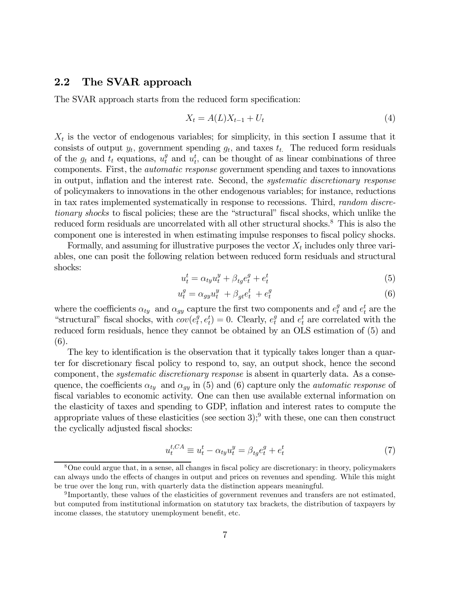### 2.2 The SVAR approach

The SVAR approach starts from the reduced form specification:

$$
X_t = A(L)X_{t-1} + U_t \tag{4}
$$

 $X_t$  is the vector of endogenous variables; for simplicity, in this section I assume that it consists of output  $y_t$ , government spending  $g_t$ , and taxes  $t_t$ . The reduced form residuals of the  $g_t$  and  $t_t$  equations,  $u_t^g$  and  $u_t^t$ , can be thought of as linear combinations of three components. First, the automatic response government spending and taxes to innovations in output, inflation and the interest rate. Second, the systematic discretionary response of policymakers to innovations in the other endogenous variables; for instance, reductions in tax rates implemented systematically in response to recessions. Third, random discretionary shocks to fiscal policies; these are the "structural" fiscal shocks, which unlike the reduced form residuals are uncorrelated with all other structural shocks.<sup>8</sup> This is also the component one is interested in when estimating impulse responses to fiscal policy shocks.

Formally, and assuming for illustrative purposes the vector  $X_t$  includes only three variables, one can posit the following relation between reduced form residuals and structural shocks:

$$
u_t^t = \alpha_{ty} u_t^y + \beta_{tg} e_t^g + e_t^t \tag{5}
$$

$$
u_t^g = \alpha_{gy} u_t^y + \beta_{gt} e_t^t + e_t^g \tag{6}
$$

where the coefficients  $\alpha_{ty}$  and  $\alpha_{gy}$  capture the first two components and  $e_t^g$  and  $e_t^t$  are the "structural" fiscal shocks, with  $cov(e_t^g, e_t^t) = 0$ . Clearly,  $e_t^g$  and  $e_t^t$  are correlated with the reduced form residuals, hence they cannot be obtained by an OLS estimation of (5) and (6).

The key to identification is the observation that it typically takes longer than a quarter for discretionary fiscal policy to respond to, say, an output shock, hence the second component, the systematic discretionary response is absent in quarterly data. As a consequence, the coefficients  $\alpha_{t}$  and  $\alpha_{q}$  in (5) and (6) capture only the *automatic response* of fiscal variables to economic activity. One can then use available external information on the elasticity of taxes and spending to GDP, inflation and interest rates to compute the appropriate values of these elasticities (see section 3);<sup>9</sup> with these, one can then construct the cyclically adjusted fiscal shocks:

$$
u_t^{t,CA} \equiv u_t^t - \alpha_{ty} u_t^y = \beta_{tg} e_t^g + e_t^t \tag{7}
$$

<sup>8</sup>One could argue that, in a sense, all changes in fiscal policy are discretionary: in theory, policymakers can always undo the effects of changes in output and prices on revenues and spending. While this might be true over the long run, with quarterly data the distinction appears meaningful.

<sup>9</sup> Importantly, these values of the elasticities of government revenues and transfers are not estimated, but computed from institutional information on statutory tax brackets, the distribution of taxpayers by income classes, the statutory unemployment benefit, etc.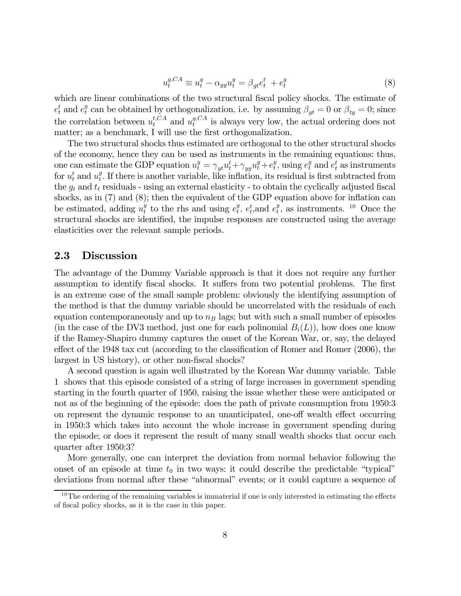$$
u_t^{g,CA} \equiv u_t^g - \alpha_{gy} u_t^y = \beta_{gt} e_t^t + e_t^g \tag{8}
$$

which are linear combinations of the two structural fiscal policy shocks. The estimate of  $e_t^t$  and  $e_t^g$  can be obtained by orthogonalization, i.e. by assuming  $\beta_{gt} = 0$  or  $\beta_{tg} = 0$ ; since the correlation between  $u_t^{t,CA}$  and  $u_t^{g,CA}$  is always very low, the actual ordering does not matter; as a benchmark, I will use the first orthogonalization.

The two structural shocks thus estimated are orthogonal to the other structural shocks of the economy, hence they can be used as instruments in the remaining equations: thus, one can estimate the GDP equation  $u_t^y = \gamma_{yt} u_t^t + \gamma_{yy} u_t^g + e_t^y$ , using  $e_t^g$  and  $e_t^t$  as instruments for  $u_t^t$  and  $u_t^g$ . If there is another variable, like inflation, its residual is first subtracted from the  $g_t$  and  $t_t$  residuals - using an external elasticity - to obtain the cyclically adjusted fiscal shocks, as in (7) and (8); then the equivalent of the GDP equation above for inflation can be estimated, adding  $u_t^y$  to the rhs and using  $e_t^g$ ,  $e_t^t$ , and  $e_t^y$ , as instruments. <sup>10</sup> Once the structural shocks are identified, the impulse responses are constructed using the average elasticities over the relevant sample periods.

#### 2.3 Discussion

The advantage of the Dummy Variable approach is that it does not require any further assumption to identify fiscal shocks. It suffers from two potential problems. The first is an extreme case of the small sample problem: obviously the identifying assumption of the method is that the dummy variable should be uncorrelated with the residuals of each equation contemporaneously and up to  $n_B$  lags; but with such a small number of episodes (in the case of the DV3 method, just one for each polinomial  $B_i(L)$ ), how does one know if the Ramey-Shapiro dummy captures the onset of the Korean War, or, say, the delayed effect of the 1948 tax cut (according to the classification of Romer and Romer (2006), the largest in US history), or other non-fiscal shocks?

A second question is again well illustrated by the Korean War dummy variable. Table 1 shows that this episode consisted of a string of large increases in government spending starting in the fourth quarter of 1950, raising the issue whether these were anticipated or not as of the beginning of the episode: does the path of private consumption from 1950:3 on represent the dynamic response to an unanticipated, one-off wealth effect occurring in 1950:3 which takes into account the whole increase in government spending during the episode; or does it represent the result of many small wealth shocks that occur each quarter after 1950:3?

More generally, one can interpret the deviation from normal behavior following the onset of an episode at time  $t_0$  in two ways: it could describe the predictable "typical" deviations from normal after these "abnormal" events; or it could capture a sequence of

 $10$ The ordering of the remaining variables is immaterial if one is only interested in estimating the effects of fiscal policy shocks, as it is the case in this paper.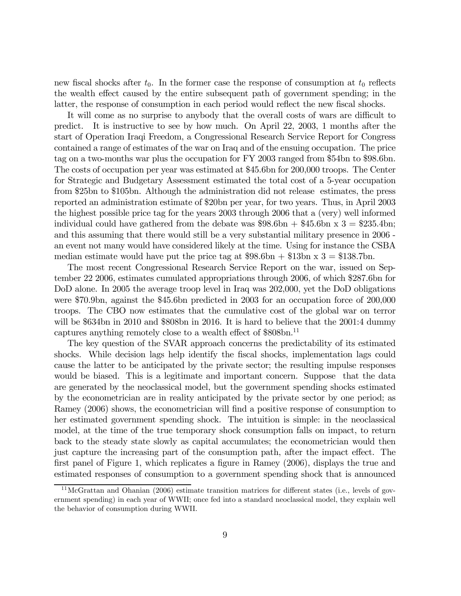new fiscal shocks after  $t_0$ . In the former case the response of consumption at  $t_0$  reflects the wealth effect caused by the entire subsequent path of government spending; in the latter, the response of consumption in each period would reflect the new fiscal shocks.

It will come as no surprise to anybody that the overall costs of wars are difficult to predict. It is instructive to see by how much. On April 22, 2003, 1 months after the start of Operation Iraqi Freedom, a Congressional Research Service Report for Congress contained a range of estimates of the war on Iraq and of the ensuing occupation. The price tag on a two-months war plus the occupation for FY 2003 ranged from \$54bn to \$98.6bn. The costs of occupation per year was estimated at \$45.6bn for 200,000 troops. The Center for Strategic and Budgetary Assessment estimated the total cost of a 5-year occupation from \$25bn to \$105bn. Although the administration did not release estimates, the press reported an administration estimate of \$20bn per year, for two years. Thus, in April 2003 the highest possible price tag for the years 2003 through 2006 that a (very) well informed individual could have gathered from the debate was  $$98.6\text{bn} + $45.6\text{bn} \times 3 = $235.4\text{bn};$ and this assuming that there would still be a very substantial military presence in 2006 an event not many would have considered likely at the time. Using for instance the CSBA median estimate would have put the price tag at  $$98.6$ bn +  $$13$ bn x 3 =  $$138.7$ bn.

The most recent Congressional Research Service Report on the war, issued on September 22 2006, estimates cumulated appropriations through 2006, of which \$287.6bn for DoD alone. In 2005 the average troop level in Iraq was 202,000, yet the DoD obligations were \$70.9bn, against the \$45.6bn predicted in 2003 for an occupation force of 200,000 troops. The CBO now estimates that the cumulative cost of the global war on terror will be \$634bn in 2010 and \$808bn in 2016. It is hard to believe that the 2001:4 dummy captures anything remotely close to a wealth effect of \$808bn.<sup>11</sup>

The key question of the SVAR approach concerns the predictability of its estimated shocks. While decision lags help identify the fiscal shocks, implementation lags could cause the latter to be anticipated by the private sector; the resulting impulse responses would be biased. This is a legitimate and important concern. Suppose that the data are generated by the neoclassical model, but the government spending shocks estimated by the econometrician are in reality anticipated by the private sector by one period; as Ramey (2006) shows, the econometrician will find a positive response of consumption to her estimated government spending shock. The intuition is simple: in the neoclassical model, at the time of the true temporary shock consumption falls on impact, to return back to the steady state slowly as capital accumulates; the econometrician would then just capture the increasing part of the consumption path, after the impact effect. The first panel of Figure 1, which replicates a figure in Ramey (2006), displays the true and estimated responses of consumption to a government spending shock that is announced

 $11$ McGrattan and Ohanian (2006) estimate transition matrices for different states (i.e., levels of government spending) in each year of WWII; once fed into a standard neoclassical model, they explain well the behavior of consumption during WWII.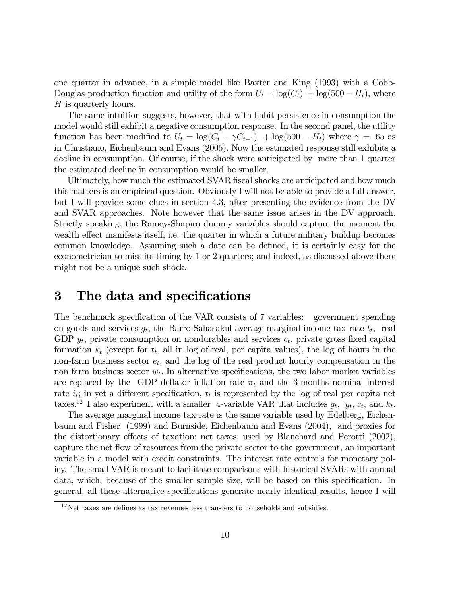one quarter in advance, in a simple model like Baxter and King (1993) with a Cobb-Douglas production function and utility of the form  $U_t = \log(C_t) + \log(500 - H_t)$ , where H is quarterly hours.

The same intuition suggests, however, that with habit persistence in consumption the model would still exhibit a negative consumption response. In the second panel, the utility function has been modified to  $U_t = \log(C_t - \gamma C_{t-1}) + \log(500 - H_t)$  where  $\gamma = .65$  as in Christiano, Eichenbaum and Evans (2005). Now the estimated response still exhibits a decline in consumption. Of course, if the shock were anticipated by more than 1 quarter the estimated decline in consumption would be smaller.

Ultimately, how much the estimated SVAR fiscal shocks are anticipated and how much this matters is an empirical question. Obviously I will not be able to provide a full answer, but I will provide some clues in section 4.3, after presenting the evidence from the DV and SVAR approaches. Note however that the same issue arises in the DV approach. Strictly speaking, the Ramey-Shapiro dummy variables should capture the moment the wealth effect manifests itself, i.e. the quarter in which a future military buildup becomes common knowledge. Assuming such a date can be defined, it is certainly easy for the econometrician to miss its timing by 1 or 2 quarters; and indeed, as discussed above there might not be a unique such shock.

## 3 The data and specifications

The benchmark specification of the VAR consists of 7 variables: government spending on goods and services  $g_t$ , the Barro-Sahasakul average marginal income tax rate  $t_t$ , real GDP  $y_t$ , private consumption on nondurables and services  $c_t$ , private gross fixed capital formation  $k_t$  (except for  $t_t$ , all in log of real, per capita values), the log of hours in the non-farm business sector  $e_t$ , and the log of the real product hourly compensation in the non farm business sector  $w_t$ . In alternative specifications, the two labor market variables are replaced by the GDP deflator inflation rate  $\pi_t$  and the 3-months nominal interest rate  $i_t$ ; in yet a different specification,  $t_t$  is represented by the log of real per capita net taxes.<sup>12</sup> I also experiment with a smaller 4-variable VAR that includes  $g_t$ ,  $y_t$ ,  $c_t$ , and  $k_t$ .

The average marginal income tax rate is the same variable used by Edelberg, Eichenbaum and Fisher (1999) and Burnside, Eichenbaum and Evans (2004), and proxies for the distortionary effects of taxation; net taxes, used by Blanchard and Perotti (2002), capture the net flow of resources from the private sector to the government, an important variable in a model with credit constraints. The interest rate controls for monetary policy. The small VAR is meant to facilitate comparisons with historical SVARs with annual data, which, because of the smaller sample size, will be based on this specification. In general, all these alternative specifications generate nearly identical results, hence I will

 $12$ Net taxes are defines as tax revenues less transfers to households and subsidies.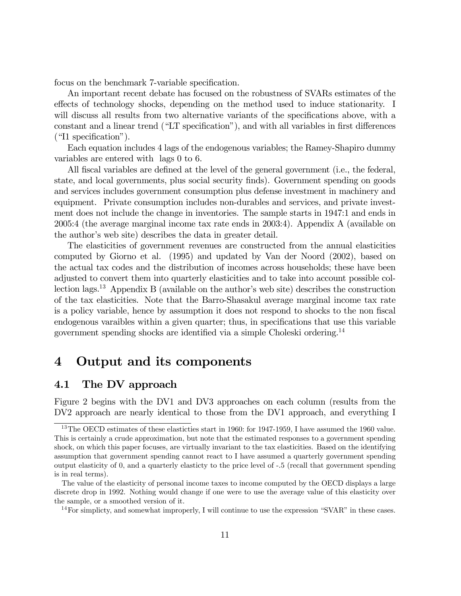focus on the benchmark 7-variable specification.

An important recent debate has focused on the robustness of SVARs estimates of the effects of technology shocks, depending on the method used to induce stationarity. I will discuss all results from two alternative variants of the specifications above, with a constant and a linear trend ("LT specification"), and with all variables in first differences ("I1 specification").

Each equation includes 4 lags of the endogenous variables; the Ramey-Shapiro dummy variables are entered with lags 0 to 6.

All fiscal variables are defined at the level of the general government (i.e., the federal, state, and local governments, plus social security finds). Government spending on goods and services includes government consumption plus defense investment in machinery and equipment. Private consumption includes non-durables and services, and private investment does not include the change in inventories. The sample starts in 1947:1 and ends in 2005:4 (the average marginal income tax rate ends in 2003:4). Appendix A (available on the author's web site) describes the data in greater detail.

The elasticities of government revenues are constructed from the annual elasticities computed by Giorno et al. (1995) and updated by Van der Noord (2002), based on the actual tax codes and the distribution of incomes across households; these have been adjusted to convert them into quarterly elasticities and to take into account possible collection lags.<sup>13</sup> Appendix B (available on the author's web site) describes the construction of the tax elasticities. Note that the Barro-Shasakul average marginal income tax rate is a policy variable, hence by assumption it does not respond to shocks to the non fiscal endogenous varaibles within a given quarter; thus, in specifications that use this variable government spending shocks are identified via a simple Choleski ordering.14

## 4 Output and its components

### 4.1 The DV approach

Figure 2 begins with the DV1 and DV3 approaches on each column (results from the DV2 approach are nearly identical to those from the DV1 approach, and everything I

<sup>&</sup>lt;sup>13</sup>The OECD estimates of these elasticties start in 1960: for 1947-1959, I have assumed the 1960 value. This is certainly a crude approximation, but note that the estimated responses to a government spending shock, on which this paper focuses, are virtually invariant to the tax elasticities. Based on the identifying assumption that government spending cannot react to I have assumed a quarterly government spending output elasticity of 0, and a quarterly elasticty to the price level of -.5 (recall that government spending is in real terms).

The value of the elasticity of personal income taxes to income computed by the OECD displays a large discrete drop in 1992. Nothing would change if one were to use the average value of this elasticity over the sample, or a smoothed version of it.

 $14$  For simplicty, and somewhat improperly, I will continue to use the expression "SVAR" in these cases.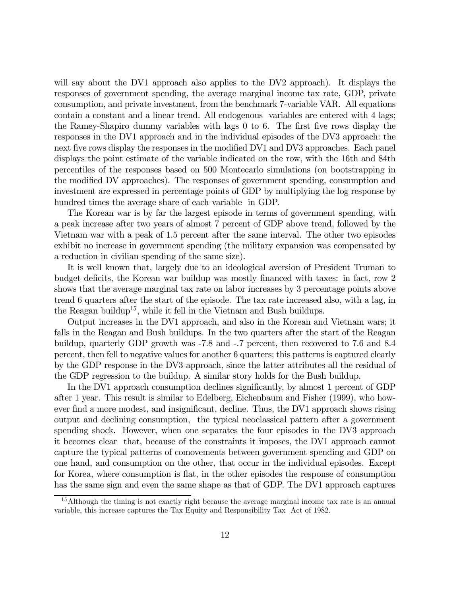will say about the DV1 approach also applies to the DV2 approach). It displays the responses of government spending, the average marginal income tax rate, GDP, private consumption, and private investment, from the benchmark 7-variable VAR. All equations contain a constant and a linear trend. All endogenous variables are entered with 4 lags; the Ramey-Shapiro dummy variables with lags 0 to 6. The first five rows display the responses in the DV1 approach and in the individual episodes of the DV3 approach: the next five rows display the responses in the modified DV1 and DV3 approaches. Each panel displays the point estimate of the variable indicated on the row, with the 16th and 84th percentiles of the responses based on 500 Montecarlo simulations (on bootstrapping in the modified DV approaches). The responses of government spending, consumption and investment are expressed in percentage points of GDP by multiplying the log response by hundred times the average share of each variable in GDP.

The Korean war is by far the largest episode in terms of government spending, with a peak increase after two years of almost 7 percent of GDP above trend, followed by the Vietnam war with a peak of 1.5 percent after the same interval. The other two episodes exhibit no increase in government spending (the military expansion was compensated by a reduction in civilian spending of the same size).

It is well known that, largely due to an ideological aversion of President Truman to budget deficits, the Korean war buildup was mostly financed with taxes: in fact, row 2 shows that the average marginal tax rate on labor increases by 3 percentage points above trend 6 quarters after the start of the episode. The tax rate increased also, with a lag, in the Reagan buildup<sup>15</sup>, while it fell in the Vietnam and Bush buildups.

Output increases in the DV1 approach, and also in the Korean and Vietnam wars; it falls in the Reagan and Bush buildups. In the two quarters after the start of the Reagan buildup, quarterly GDP growth was -7.8 and -.7 percent, then recovered to 7.6 and 8.4 percent, then fell to negative values for another 6 quarters; this patterns is captured clearly by the GDP response in the DV3 approach, since the latter attributes all the residual of the GDP regression to the buildup. A similar story holds for the Bush buildup.

In the DV1 approach consumption declines significantly, by almost 1 percent of GDP after 1 year. This result is similar to Edelberg, Eichenbaum and Fisher (1999), who however find a more modest, and insignificant, decline. Thus, the DV1 approach shows rising output and declining consumption, the typical neoclassical pattern after a government spending shock. However, when one separates the four episodes in the DV3 approach it becomes clear that, because of the constraints it imposes, the DV1 approach cannot capture the typical patterns of comovements between government spending and GDP on one hand, and consumption on the other, that occur in the individual episodes. Except for Korea, where consumption is flat, in the other episodes the response of consumption has the same sign and even the same shape as that of GDP. The DV1 approach captures

<sup>&</sup>lt;sup>15</sup>Although the timing is not exactly right because the average marginal income tax rate is an annual variable, this increase captures the Tax Equity and Responsibility Tax Act of 1982.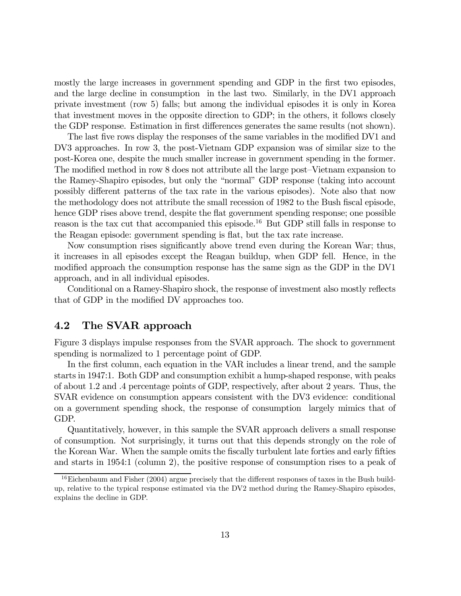mostly the large increases in government spending and GDP in the first two episodes, and the large decline in consumption in the last two. Similarly, in the DV1 approach private investment (row 5) falls; but among the individual episodes it is only in Korea that investment moves in the opposite direction to GDP; in the others, it follows closely the GDP response. Estimation in first differences generates the same results (not shown).

The last five rows display the responses of the same variables in the modified DV1 and DV3 approaches. In row 3, the post-Vietnam GDP expansion was of similar size to the post-Korea one, despite the much smaller increase in government spending in the former. The modified method in row 8 does not attribute all the large post—Vietnam expansion to the Ramey-Shapiro episodes, but only the "normal" GDP response (taking into account possibly different patterns of the tax rate in the various episodes). Note also that now the methodology does not attribute the small recession of 1982 to the Bush fiscal episode, hence GDP rises above trend, despite the flat government spending response; one possible reason is the tax cut that accompanied this episode.<sup>16</sup> But GDP still falls in response to the Reagan episode: government spending is flat, but the tax rate increase.

Now consumption rises significantly above trend even during the Korean War; thus, it increases in all episodes except the Reagan buildup, when GDP fell. Hence, in the modified approach the consumption response has the same sign as the GDP in the DV1 approach, and in all individual episodes.

Conditional on a Ramey-Shapiro shock, the response of investment also mostly reflects that of GDP in the modified DV approaches too.

### 4.2 The SVAR approach

Figure 3 displays impulse responses from the SVAR approach. The shock to government spending is normalized to 1 percentage point of GDP.

In the first column, each equation in the VAR includes a linear trend, and the sample starts in 1947:1. Both GDP and consumption exhibit a hump-shaped response, with peaks of about 1.2 and .4 percentage points of GDP, respectively, after about 2 years. Thus, the SVAR evidence on consumption appears consistent with the DV3 evidence: conditional on a government spending shock, the response of consumption largely mimics that of GDP.

Quantitatively, however, in this sample the SVAR approach delivers a small response of consumption. Not surprisingly, it turns out that this depends strongly on the role of the Korean War. When the sample omits the fiscally turbulent late forties and early fifties and starts in 1954:1 (column 2), the positive response of consumption rises to a peak of

<sup>&</sup>lt;sup>16</sup>Eichenbaum and Fisher (2004) argue precisely that the different responses of taxes in the Bush buildup, relative to the typical response estimated via the DV2 method during the Ramey-Shapiro episodes, explains the decline in GDP.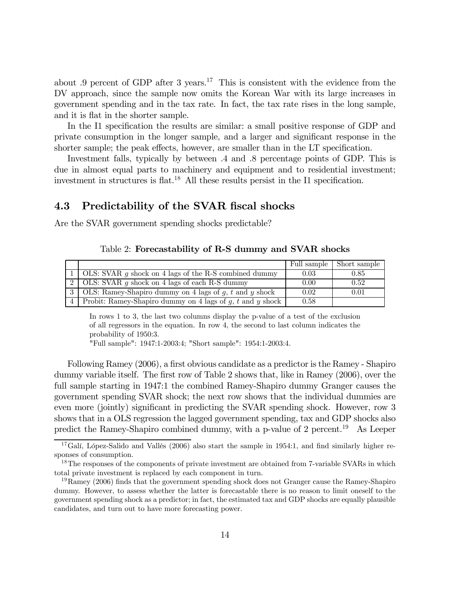about .9 percent of GDP after 3 years.<sup>17</sup> This is consistent with the evidence from the DV approach, since the sample now omits the Korean War with its large increases in government spending and in the tax rate. In fact, the tax rate rises in the long sample, and it is flat in the shorter sample.

In the I1 specification the results are similar: a small positive response of GDP and private consumption in the longer sample, and a larger and significant response in the shorter sample; the peak effects, however, are smaller than in the LT specification.

Investment falls, typically by between .4 and .8 percentage points of GDP. This is due in almost equal parts to machinery and equipment and to residential investment; investment in structures is flat.<sup>18</sup> All these results persist in the I1 specification.

### 4.3 Predictability of the SVAR fiscal shocks

Are the SVAR government spending shocks predictable?

|                                                                   |      | Full sample   Short sample |
|-------------------------------------------------------------------|------|----------------------------|
| 1   OLS: SVAR $g$ shock on 4 lags of the R-S combined dummy       | 0.03 | 0.85                       |
| $\boxed{2}$ OLS: SVAR g shock on 4 lags of each R-S dummy         | 0.00 | 0.52                       |
| 3 OLS: Ramey-Shapiro dummy on 4 lags of $q$ , $t$ and $y$ shock   | 0.02 | 0.01                       |
| 4   Probit: Ramey-Shapiro dummy on 4 lags of $g, t$ and $y$ shock | 0.58 |                            |

Table 2: Forecastability of R-S dummy and SVAR shocks

In rows 1 to 3, the last two columns display the p-value of a test of the exclusion of all regressors in the equation. In row 4, the second to last column indicates the probability of 1950:3.

"Full sample": 1947:1-2003:4; "Short sample": 1954:1-2003:4.

Following Ramey (2006), a first obvious candidate as a predictor is the Ramey - Shapiro dummy variable itself. The first row of Table 2 shows that, like in Ramey (2006), over the full sample starting in 1947:1 the combined Ramey-Shapiro dummy Granger causes the government spending SVAR shock; the next row shows that the individual dummies are even more (jointly) significant in predicting the SVAR spending shock. However, row 3 shows that in a OLS regression the lagged government spending, tax and GDP shocks also predict the Ramey-Shapiro combined dummy, with a p-value of 2 percent.<sup>19</sup> As Leeper

<sup>&</sup>lt;sup>17</sup>Galí, López-Salido and Vallés (2006) also start the sample in 1954:1, and find similarly higher responses of consumption.

<sup>&</sup>lt;sup>18</sup>The responses of the components of private investment are obtained from 7-variable SVARs in which total private investment is replaced by each component in turn.

 $19$ Ramey (2006) finds that the government spending shock does not Granger cause the Ramey-Shapiro dummy. However, to assess whether the latter is forecastable there is no reason to limit oneself to the government spending shock as a predictor; in fact, the estimated tax and GDP shocks are equally plausible candidates, and turn out to have more forecasting power.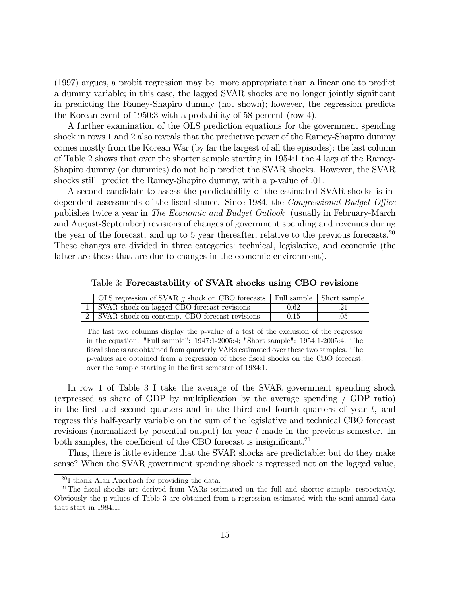(1997) argues, a probit regression may be more appropriate than a linear one to predict a dummy variable; in this case, the lagged SVAR shocks are no longer jointly significant in predicting the Ramey-Shapiro dummy (not shown); however, the regression predicts the Korean event of 1950:3 with a probability of 58 percent (row 4).

A further examination of the OLS prediction equations for the government spending shock in rows 1 and 2 also reveals that the predictive power of the Ramey-Shapiro dummy comes mostly from the Korean War (by far the largest of all the episodes): the last column of Table 2 shows that over the shorter sample starting in 1954:1 the 4 lags of the Ramey-Shapiro dummy (or dummies) do not help predict the SVAR shocks. However, the SVAR shocks still predict the Ramey-Shapiro dummy, with a p-value of .01.

A second candidate to assess the predictability of the estimated SVAR shocks is independent assessments of the fiscal stance. Since 1984, the Congressional Budget Office publishes twice a year in The Economic and Budget Outlook (usually in February-March and August-September) revisions of changes of government spending and revenues during the year of the forecast, and up to 5 year thereafter, relative to the previous forecasts.<sup>20</sup> These changes are divided in three categories: technical, legislative, and economic (the latter are those that are due to changes in the economic environment).

Table 3: Forecastability of SVAR shocks using CBO revisions

| OLS regression of SVAR q shock on CBO forecasts   Full sample   Short sample |      |  |
|------------------------------------------------------------------------------|------|--|
| 1 SVAR shock on lagged CBO forecast revisions                                | 0.62 |  |
| [2] SVAR shock on contemp. CBO forecast revisions                            | 0.15 |  |

The last two columns display the p-value of a test of the exclusion of the regressor in the equation. "Full sample": 1947:1-2005:4; "Short sample": 1954:1-2005:4. The fiscal shocks are obtained from quarterly VARs estimated over these two samples. The p-values are obtained from a regression of these fiscal shocks on the CBO forecast, over the sample starting in the first semester of 1984:1.

In row 1 of Table 3 I take the average of the SVAR government spending shock (expressed as share of GDP by multiplication by the average spending / GDP ratio) in the first and second quarters and in the third and fourth quarters of year  $t$ , and regress this half-yearly variable on the sum of the legislative and technical CBO forecast revisions (normalized by potential output) for year t made in the previous semester. In both samples, the coefficient of the CBO forecast is insignificant.<sup>21</sup>

Thus, there is little evidence that the SVAR shocks are predictable: but do they make sense? When the SVAR government spending shock is regressed not on the lagged value,

 $^{20}$ I thank Alan Auerbach for providing the data.

 $^{21}$ The fiscal shocks are derived from VARs estimated on the full and shorter sample, respectively. Obviously the p-values of Table 3 are obtained from a regression estimated with the semi-annual data that start in 1984:1.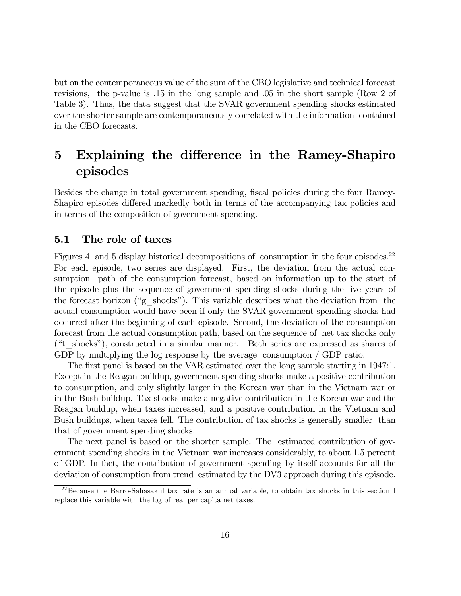but on the contemporaneous value of the sum of the CBO legislative and technical forecast revisions, the p-value is .15 in the long sample and .05 in the short sample (Row 2 of Table 3). Thus, the data suggest that the SVAR government spending shocks estimated over the shorter sample are contemporaneously correlated with the information contained in the CBO forecasts.

# 5 Explaining the difference in the Ramey-Shapiro episodes

Besides the change in total government spending, fiscal policies during the four Ramey-Shapiro episodes differed markedly both in terms of the accompanying tax policies and in terms of the composition of government spending.

### 5.1 The role of taxes

Figures 4 and 5 display historical decompositions of consumption in the four episodes.<sup>22</sup> For each episode, two series are displayed. First, the deviation from the actual consumption path of the consumption forecast, based on information up to the start of the episode plus the sequence of government spending shocks during the five years of the forecast horizon ("g\_shocks"). This variable describes what the deviation from the actual consumption would have been if only the SVAR government spending shocks had occurred after the beginning of each episode. Second, the deviation of the consumption forecast from the actual consumption path, based on the sequence of net tax shocks only ("t\_shocks"), constructed in a similar manner. Both series are expressed as shares of GDP by multiplying the log response by the average consumption / GDP ratio.

The first panel is based on the VAR estimated over the long sample starting in 1947:1. Except in the Reagan buildup, government spending shocks make a positive contribution to consumption, and only slightly larger in the Korean war than in the Vietnam war or in the Bush buildup. Tax shocks make a negative contribution in the Korean war and the Reagan buildup, when taxes increased, and a positive contribution in the Vietnam and Bush buildups, when taxes fell. The contribution of tax shocks is generally smaller than that of government spending shocks.

The next panel is based on the shorter sample. The estimated contribution of government spending shocks in the Vietnam war increases considerably, to about 1.5 percent of GDP. In fact, the contribution of government spending by itself accounts for all the deviation of consumption from trend estimated by the DV3 approach during this episode.

<sup>22</sup>Because the Barro-Sahasakul tax rate is an annual variable, to obtain tax shocks in this section I replace this variable with the log of real per capita net taxes.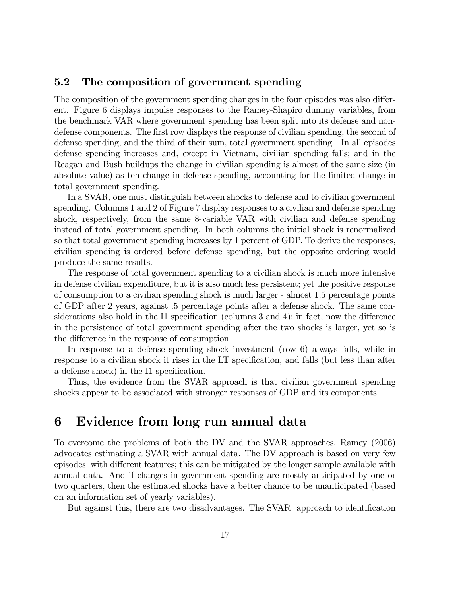### 5.2 The composition of government spending

The composition of the government spending changes in the four episodes was also different. Figure 6 displays impulse responses to the Ramey-Shapiro dummy variables, from the benchmark VAR where government spending has been split into its defense and nondefense components. The first row displays the response of civilian spending, the second of defense spending, and the third of their sum, total government spending. In all episodes defense spending increases and, except in Vietnam, civilian spending falls; and in the Reagan and Bush buildups the change in civilian spending is almost of the same size (in absolute value) as teh change in defense spending, accounting for the limited change in total government spending.

In a SVAR, one must distinguish between shocks to defense and to civilian government spending. Columns 1 and 2 of Figure 7 display responses to a civilian and defense spending shock, respectively, from the same 8-variable VAR with civilian and defense spending instead of total government spending. In both columns the initial shock is renormalized so that total government spending increases by 1 percent of GDP. To derive the responses, civilian spending is ordered before defense spending, but the opposite ordering would produce the same results.

The response of total government spending to a civilian shock is much more intensive in defense civilian expenditure, but it is also much less persistent; yet the positive response of consumption to a civilian spending shock is much larger - almost 1.5 percentage points of GDP after 2 years, against .5 percentage points after a defense shock. The same considerations also hold in the I1 specification (columns 3 and 4); in fact, now the difference in the persistence of total government spending after the two shocks is larger, yet so is the difference in the response of consumption.

In response to a defense spending shock investment (row 6) always falls, while in response to a civilian shock it rises in the LT specification, and falls (but less than after a defense shock) in the I1 specification.

Thus, the evidence from the SVAR approach is that civilian government spending shocks appear to be associated with stronger responses of GDP and its components.

## 6 Evidence from long run annual data

To overcome the problems of both the DV and the SVAR approaches, Ramey (2006) advocates estimating a SVAR with annual data. The DV approach is based on very few episodes with different features; this can be mitigated by the longer sample available with annual data. And if changes in government spending are mostly anticipated by one or two quarters, then the estimated shocks have a better chance to be unanticipated (based on an information set of yearly variables).

But against this, there are two disadvantages. The SVAR approach to identification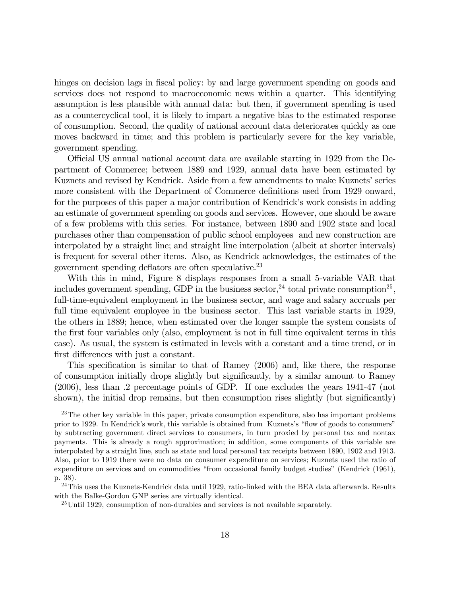hinges on decision lags in fiscal policy: by and large government spending on goods and services does not respond to macroeconomic news within a quarter. This identifying assumption is less plausible with annual data: but then, if government spending is used as a countercyclical tool, it is likely to impart a negative bias to the estimated response of consumption. Second, the quality of national account data deteriorates quickly as one moves backward in time; and this problem is particularly severe for the key variable, government spending.

Official US annual national account data are available starting in 1929 from the Department of Commerce; between 1889 and 1929, annual data have been estimated by Kuznets and revised by Kendrick. Aside from a few amendments to make Kuznets' series more consistent with the Department of Commerce definitions used from 1929 onward, for the purposes of this paper a major contribution of Kendrick's work consists in adding an estimate of government spending on goods and services. However, one should be aware of a few problems with this series. For instance, between 1890 and 1902 state and local purchases other than compensation of public school employees and new construction are interpolated by a straight line; and straight line interpolation (albeit at shorter intervals) is frequent for several other items. Also, as Kendrick acknowledges, the estimates of the government spending deflators are often speculative.<sup>23</sup>

With this in mind, Figure 8 displays responses from a small 5-variable VAR that includes government spending, GDP in the business sector,  $^{24}$  total private consumption<sup>25</sup>, full-time-equivalent employment in the business sector, and wage and salary accruals per full time equivalent employee in the business sector. This last variable starts in 1929, the others in 1889; hence, when estimated over the longer sample the system consists of the first four variables only (also, employment is not in full time equivalent terms in this case). As usual, the system is estimated in levels with a constant and a time trend, or in first differences with just a constant.

This specification is similar to that of Ramey (2006) and, like there, the response of consumption initially drops slightly but significantly, by a similar amount to Ramey (2006), less than .2 percentage points of GDP. If one excludes the years 1941-47 (not shown), the initial drop remains, but then consumption rises slightly (but significantly)

 $23$ The other key variable in this paper, private consumption expenditure, also has important problems prior to 1929. In Kendrick's work, this variable is obtained from Kuznets's "flow of goods to consumers" by subtracting government direct services to consumers, in turn proxied by personal tax and nontax payments. This is already a rough approximation; in addition, some components of this variable are interpolated by a straight line, such as state and local personal tax receipts between 1890, 1902 and 1913. Also, prior to 1919 there were no data on consumer expenditure on services; Kuznets used the ratio of expenditure on services and on commodities "from occasional family budget studies" (Kendrick (1961), p. 38).

<sup>&</sup>lt;sup>24</sup>This uses the Kuznets-Kendrick data until 1929, ratio-linked with the BEA data afterwards. Results with the Balke-Gordon GNP series are virtually identical.

<sup>25</sup>Until 1929, consumption of non-durables and services is not available separately.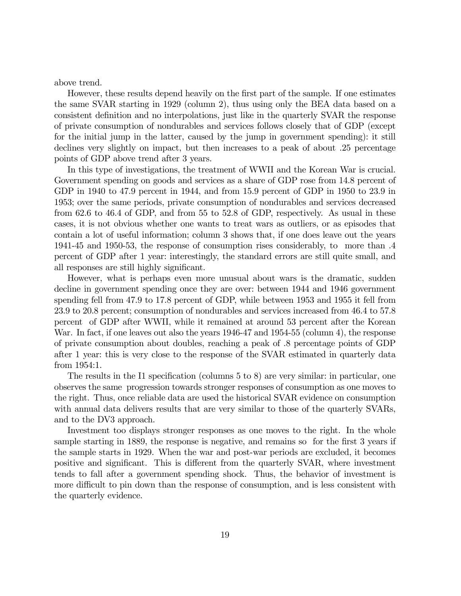above trend.

However, these results depend heavily on the first part of the sample. If one estimates the same SVAR starting in 1929 (column 2), thus using only the BEA data based on a consistent definition and no interpolations, just like in the quarterly SVAR the response of private consumption of nondurables and services follows closely that of GDP (except for the initial jump in the latter, caused by the jump in government spending): it still declines very slightly on impact, but then increases to a peak of about .25 percentage points of GDP above trend after 3 years.

In this type of investigations, the treatment of WWII and the Korean War is crucial. Government spending on goods and services as a share of GDP rose from 14.8 percent of GDP in 1940 to 47.9 percent in 1944, and from 15.9 percent of GDP in 1950 to 23.9 in 1953; over the same periods, private consumption of nondurables and services decreased from 62.6 to 46.4 of GDP, and from 55 to 52.8 of GDP, respectively. As usual in these cases, it is not obvious whether one wants to treat wars as outliers, or as episodes that contain a lot of useful information; column 3 shows that, if one does leave out the years 1941-45 and 1950-53, the response of consumption rises considerably, to more than .4 percent of GDP after 1 year: interestingly, the standard errors are still quite small, and all responses are still highly significant.

However, what is perhaps even more unusual about wars is the dramatic, sudden decline in government spending once they are over: between 1944 and 1946 government spending fell from 47.9 to 17.8 percent of GDP, while between 1953 and 1955 it fell from 23.9 to 20.8 percent; consumption of nondurables and services increased from 46.4 to 57.8 percent of GDP after WWII, while it remained at around 53 percent after the Korean War. In fact, if one leaves out also the years 1946-47 and 1954-55 (column 4), the response of private consumption about doubles, reaching a peak of .8 percentage points of GDP after 1 year: this is very close to the response of the SVAR estimated in quarterly data from 1954:1.

The results in the I1 specification (columns 5 to 8) are very similar: in particular, one observes the same progression towards stronger responses of consumption as one moves to the right. Thus, once reliable data are used the historical SVAR evidence on consumption with annual data delivers results that are very similar to those of the quarterly SVARs, and to the DV3 approach.

Investment too displays stronger responses as one moves to the right. In the whole sample starting in 1889, the response is negative, and remains so for the first 3 years if the sample starts in 1929. When the war and post-war periods are excluded, it becomes positive and significant. This is different from the quarterly SVAR, where investment tends to fall after a government spending shock. Thus, the behavior of investment is more difficult to pin down than the response of consumption, and is less consistent with the quarterly evidence.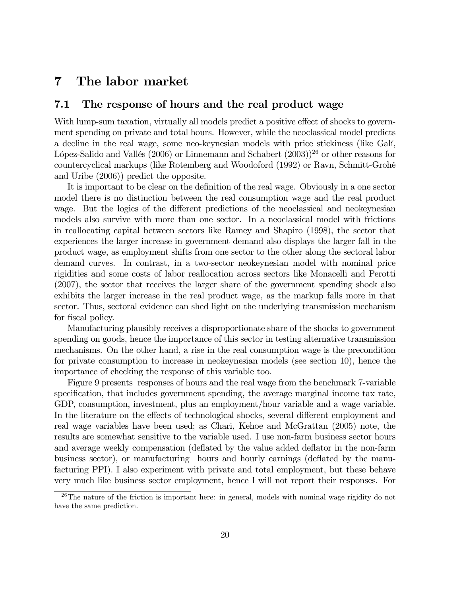## 7 The labor market

### 7.1 The response of hours and the real product wage

With lump-sum taxation, virtually all models predict a positive effect of shocks to government spending on private and total hours. However, while the neoclassical model predicts a decline in the real wage, some neo-keynesian models with price stickiness (like Galí, López-Salido and Vallés (2006) or Linnemann and Schabert  $(2003)$ <sup>26</sup> or other reasons for countercyclical markups (like Rotemberg and Woodoford (1992) or Ravn, Schmitt-Grohé and Uribe (2006)) predict the opposite.

It is important to be clear on the definition of the real wage. Obviously in a one sector model there is no distinction between the real consumption wage and the real product wage. But the logics of the different predictions of the neoclassical and neokeynesian models also survive with more than one sector. In a neoclassical model with frictions in reallocating capital between sectors like Ramey and Shapiro (1998), the sector that experiences the larger increase in government demand also displays the larger fall in the product wage, as employment shifts from one sector to the other along the sectoral labor demand curves. In contrast, in a two-sector neokeynesian model with nominal price rigidities and some costs of labor reallocation across sectors like Monacelli and Perotti (2007), the sector that receives the larger share of the government spending shock also exhibits the larger increase in the real product wage, as the markup falls more in that sector. Thus, sectoral evidence can shed light on the underlying transmission mechanism for fiscal policy.

Manufacturing plausibly receives a disproportionate share of the shocks to government spending on goods, hence the importance of this sector in testing alternative transmission mechanisms. On the other hand, a rise in the real consumption wage is the precondition for private consumption to increase in neokeynesian models (see section 10), hence the importance of checking the response of this variable too.

Figure 9 presents responses of hours and the real wage from the benchmark 7-variable specification, that includes government spending, the average marginal income tax rate, GDP, consumption, investment, plus an employment/hour variable and a wage variable. In the literature on the effects of technological shocks, several different employment and real wage variables have been used; as Chari, Kehoe and McGrattan (2005) note, the results are somewhat sensitive to the variable used. I use non-farm business sector hours and average weekly compensation (deflated by the value added deflator in the non-farm business sector), or manufacturing hours and hourly earnings (deflated by the manufacturing PPI). I also experiment with private and total employment, but these behave very much like business sector employment, hence I will not report their responses. For

 $26$ The nature of the friction is important here: in general, models with nominal wage rigidity do not have the same prediction.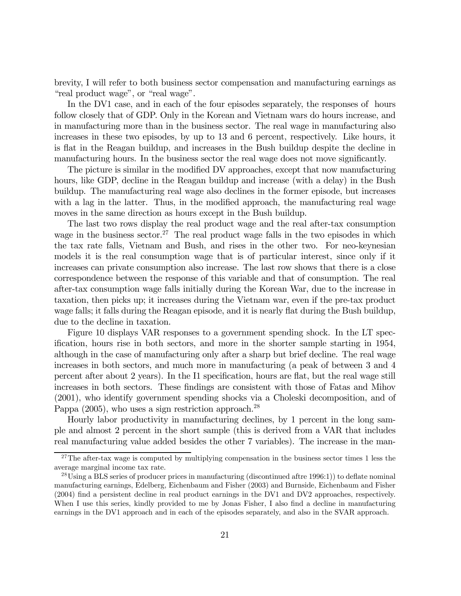brevity, I will refer to both business sector compensation and manufacturing earnings as "real product wage", or "real wage".

In the DV1 case, and in each of the four episodes separately, the responses of hours follow closely that of GDP. Only in the Korean and Vietnam wars do hours increase, and in manufacturing more than in the business sector. The real wage in manufacturing also increases in these two episodes, by up to 13 and 6 percent, respectively. Like hours, it is flat in the Reagan buildup, and increases in the Bush buildup despite the decline in manufacturing hours. In the business sector the real wage does not move significantly.

The picture is similar in the modified DV approaches, except that now manufacturing hours, like GDP, decline in the Reagan buildup and increase (with a delay) in the Bush buildup. The manufacturing real wage also declines in the former episode, but increases with a lag in the latter. Thus, in the modified approach, the manufacturing real wage moves in the same direction as hours except in the Bush buildup.

The last two rows display the real product wage and the real after-tax consumption wage in the business sector.<sup>27</sup> The real product wage falls in the two episodes in which the tax rate falls, Vietnam and Bush, and rises in the other two. For neo-keynesian models it is the real consumption wage that is of particular interest, since only if it increases can private consumption also increase. The last row shows that there is a close correspondence between the response of this variable and that of consumption. The real after-tax consumption wage falls initially during the Korean War, due to the increase in taxation, then picks up; it increases during the Vietnam war, even if the pre-tax product wage falls; it falls during the Reagan episode, and it is nearly flat during the Bush buildup, due to the decline in taxation.

Figure 10 displays VAR responses to a government spending shock. In the LT specification, hours rise in both sectors, and more in the shorter sample starting in 1954, although in the case of manufacturing only after a sharp but brief decline. The real wage increases in both sectors, and much more in manufacturing (a peak of between 3 and 4 percent after about 2 years). In the I1 specification, hours are flat, but the real wage still increases in both sectors. These findings are consistent with those of Fatas and Mihov (2001), who identify government spending shocks via a Choleski decomposition, and of Pappa  $(2005)$ , who uses a sign restriction approach.<sup>28</sup>

Hourly labor productivity in manufacturing declines, by 1 percent in the long sample and almost 2 percent in the short sample (this is derived from a VAR that includes real manufacturing value added besides the other 7 variables). The increase in the man-

<sup>&</sup>lt;sup>27</sup>The after-tax wage is computed by multiplying compensation in the business sector times 1 less the average marginal income tax rate.

<sup>&</sup>lt;sup>28</sup>Using a BLS series of producer prices in manufacturing (discontinued aftre 1996:1)) to deflate nominal manufacturing earnings, Edelberg, Eichenbaum and Fisher (2003) and Burnside, Eichenbaum and Fisher (2004) find a persistent decline in real product earnings in the DV1 and DV2 approaches, respectively. When I use this series, kindly provided to me by Jonas Fisher, I also find a decline in manufacturing earnings in the DV1 approach and in each of the episodes separately, and also in the SVAR approach.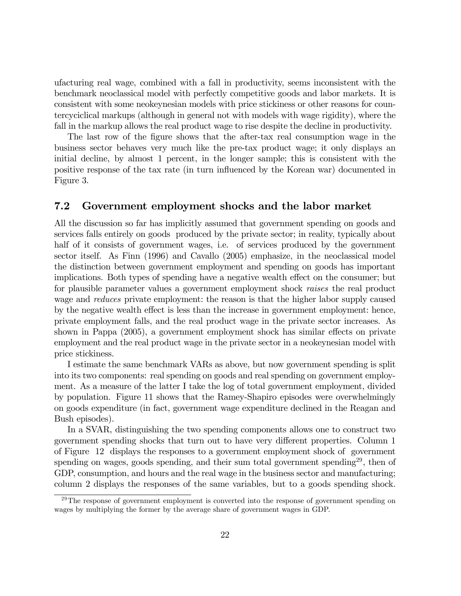ufacturing real wage, combined with a fall in productivity, seems inconsistent with the benchmark neoclassical model with perfectly competitive goods and labor markets. It is consistent with some neokeynesian models with price stickiness or other reasons for countercyciclical markups (although in general not with models with wage rigidity), where the fall in the markup allows the real product wage to rise despite the decline in productivity.

The last row of the figure shows that the after-tax real consumption wage in the business sector behaves very much like the pre-tax product wage; it only displays an initial decline, by almost 1 percent, in the longer sample; this is consistent with the positive response of the tax rate (in turn influenced by the Korean war) documented in Figure 3.

#### 7.2 Government employment shocks and the labor market

All the discussion so far has implicitly assumed that government spending on goods and services falls entirely on goods produced by the private sector; in reality, typically about half of it consists of government wages, i.e. of services produced by the government sector itself. As Finn (1996) and Cavallo (2005) emphasize, in the neoclassical model the distinction between government employment and spending on goods has important implications. Both types of spending have a negative wealth effect on the consumer; but for plausible parameter values a government employment shock raises the real product wage and *reduces* private employment: the reason is that the higher labor supply caused by the negative wealth effect is less than the increase in government employment: hence, private employment falls, and the real product wage in the private sector increases. As shown in Pappa (2005), a government employment shock has similar effects on private employment and the real product wage in the private sector in a neokeynesian model with price stickiness.

I estimate the same benchmark VARs as above, but now government spending is split into its two components: real spending on goods and real spending on government employment. As a measure of the latter I take the log of total government employment, divided by population. Figure 11 shows that the Ramey-Shapiro episodes were overwhelmingly on goods expenditure (in fact, government wage expenditure declined in the Reagan and Bush episodes).

In a SVAR, distinguishing the two spending components allows one to construct two government spending shocks that turn out to have very different properties. Column 1 of Figure 12 displays the responses to a government employment shock of government spending on wages, goods spending, and their sum total government spending<sup>29</sup>, then of GDP, consumption, and hours and the real wage in the business sector and manufacturing; column 2 displays the responses of the same variables, but to a goods spending shock.

 $29$ The response of government employment is converted into the response of government spending on wages by multiplying the former by the average share of government wages in GDP.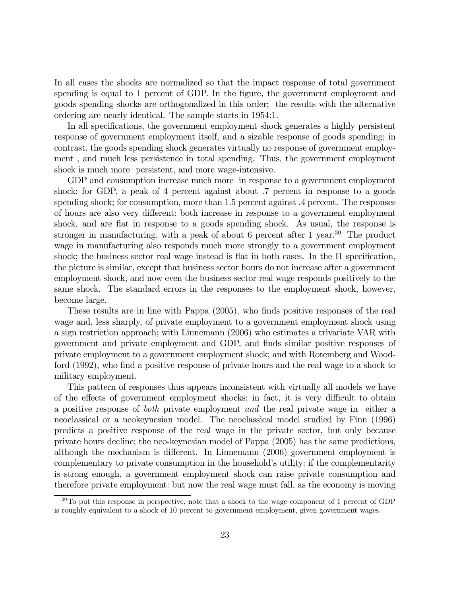In all cases the shocks are normalized so that the impact response of total government spending is equal to 1 percent of GDP. In the figure, the government employment and goods spending shocks are orthogonalized in this order; the results with the alternative ordering are nearly identical. The sample starts in 1954:1.

In all specifications, the government employment shock generates a highly persistent response of government employment itself, and a sizable response of goods spending; in contrast, the goods spending shock generates virtually no response of government employment , and much less persistence in total spending. Thus, the government employment shock is much more persistent, and more wage-intensive.

GDP and consumption increase much more in response to a government employment shock: for GDP, a peak of 4 percent against about .7 percent in response to a goods spending shock; for consumption, more than 1.5 percent against .4 percent. The responses of hours are also very different: both increase in response to a government employment shock, and are flat in response to a goods spending shock. As usual, the response is stronger in manufacturing, with a peak of about 6 percent after 1 year.<sup>30</sup> The product wage in manufacturing also responds much more strongly to a government employment shock; the business sector real wage instead is flat in both cases. In the I1 specification, the picture is similar, except that business sector hours do not increase after a government employment shock, and now even the business sector real wage responds positively to the same shock. The standard errors in the responses to the employment shock, however, become large.

These results are in line with Pappa (2005), who finds positive responses of the real wage and, less sharply, of private employment to a government employment shock using a sign restriction approach; with Linnemann (2006) who estimates a trivariate VAR with government and private employment and GDP, and finds similar positive responses of private employment to a government employment shock; and with Rotemberg and Woodford (1992), who find a positive response of private hours and the real wage to a shock to military employment.

This pattern of responses thus appears inconsistent with virtually all models we have of the effects of government employment shocks; in fact, it is very difficult to obtain a positive response of both private employment and the real private wage in either a neoclassical or a neokeynesian model. The neoclassical model studied by Finn (1996) predicts a positive response of the real wage in the private sector, but only because private hours decline; the neo-keynesian model of Pappa (2005) has the same predictions, although the mechanism is different. In Linnemann (2006) government employment is complementary to private consumption in the household's utility: if the complementarity is strong enough, a government employment shock can raise private consumption and therefore private employment: but now the real wage must fall, as the economy is moving

 $30$ To put this response in perspective, note that a shock to the wage component of 1 percent of GDP is roughly equivalent to a shock of 10 percent to government employment, given government wages.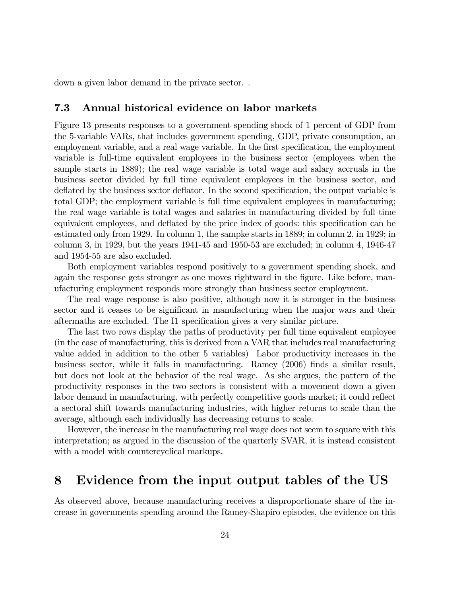down a given labor demand in the private sector. .

#### 7.3 Annual historical evidence on labor markets

Figure 13 presents responses to a government spending shock of 1 percent of GDP from the 5-variable VARs, that includes government spending, GDP, private consumption, an employment variable, and a real wage variable. In the first specification, the employment variable is full-time equivalent employees in the business sector (employees when the sample starts in 1889); the real wage variable is total wage and salary accruals in the business sector divided by full time equivalent employees in the business sector, and deflated by the business sector deflator. In the second specification, the output variable is total GDP; the employment variable is full time equivalent employees in manufacturing; the real wage variable is total wages and salaries in manufacturing divided by full time equivalent employees, and deflated by the price index of goods: this specification can be estimated only from 1929. In column 1, the sampke starts in 1889; in column 2, in 1929; in column 3, in 1929, but the years 1941-45 and 1950-53 are excluded; in column 4, 1946-47 and 1954-55 are also excluded.

Both employment variables respond positively to a government spending shock, and again the response gets stronger as one moves rightward in the figure. Like before, manufacturing employment responds more strongly than business sector employment.

The real wage response is also positive, although now it is stronger in the business sector and it ceases to be significant in manufacturing when the major wars and their aftermaths are excluded. The I1 specification gives a very similar picture.

The last two rows display the paths of productivity per full time equivalent employee (in the case of manufacturing, this is derived from a VAR that includes real manufacturing value added in addition to the other 5 variables) Labor productivity increases in the business sector, while it falls in manufacturing. Ramey (2006) finds a similar result, but does not look at the behavior of the real wage. As she argues, the pattern of the productivity responses in the two sectors is consistent with a movement down a given labor demand in manufacturing, with perfectly competitive goods market; it could reflect a sectoral shift towards manufacturing industries, with higher returns to scale than the average, although each individually has decreasing returns to scale.

However, the increase in the manufacturing real wage does not seem to square with this interpretation; as argued in the discussion of the quarterly SVAR, it is instead consistent with a model with countercyclical markups.

### 8 Evidence from the input output tables of the US

As observed above, because manufacturing receives a disproportionate share of the increase in governments spending around the Ramey-Shapiro episodes, the evidence on this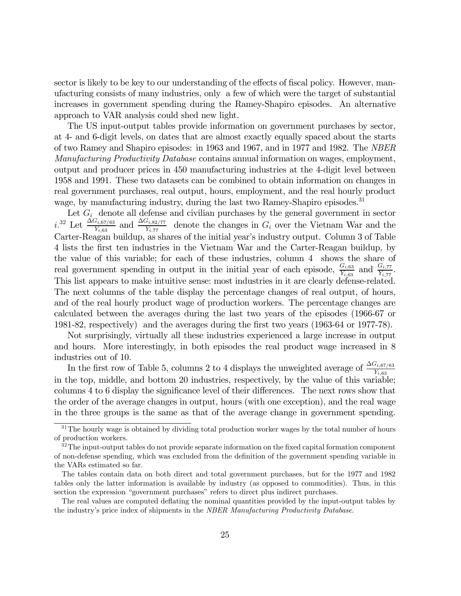sector is likely to be key to our understanding of the effects of fiscal policy. However, manufacturing consists of many industries, only a few of which were the target of substantial increases in government spending during the Ramey-Shapiro episodes. An alternative approach to VAR analysis could shed new light.

The US input-output tables provide information on government purchases by sector, at 4- and 6-digit levels, on dates that are almost exactly equally spaced about the starts of two Ramey and Shapiro episodes: in 1963 and 1967, and in 1977 and 1982. The NBER Manufacturing Productivity Database contains annual information on wages, employment, output and producer prices in 450 manufacturing industries at the 4-digit level between 1958 and 1991. These two datasets can be combined to obtain information on changes in real government purchases, real output, hours, employment, and the real hourly product wage, by manufacturing industry, during the last two Ramey-Shapiro episodes.<sup>31</sup>

Let  $G_i$  denote all defense and civilian purchases by the general government in sector  $i^{32}$  Let  $\frac{\Delta G_{i,67/63}}{Y_{i,63}}$  and  $\frac{\Delta G_{i,82/77}}{Y_{i,77}}$  denote the changes in  $G_i$  over the Vietnam War and the Carter-Reagan buildup, as shares of the initial year's industry output. Column 3 of Table 4 lists the first ten industries in the Vietnam War and the Carter-Reagan buildup, by the value of this variable; for each of these industries, column 4 shows the share of real government spending in output in the initial year of each episode,  $\frac{G_{i,63}}{Y_{i,63}}$  and  $\frac{G_{i,77}}{Y_{i,77}}$ . This list appears to make intuitive sense: most industries in it are clearly defense-related. The next columns of the table display the percentage changes of real output, of hours, and of the real hourly product wage of production workers. The percentage changes are calculated between the averages during the last two years of the episodes (1966-67 or 1981-82, respectively) and the averages during the first two years (1963-64 or 1977-78).

Not surprisingly, virtually all these industries experienced a large increase in output and hours. More interestingly, in both episodes the real product wage increased in 8 industries out of 10.

In the first row of Table 5, columns 2 to 4 displays the unweighted average of  $\frac{\Delta G_{i,67/63}}{Y_{i,63}}$ in the top, middle, and bottom 20 industries, respectively, by the value of this variable; columns 4 to 6 display the significance level of their differences. The next rows show that the order of the average changes in output, hours (with one exception), and the real wage in the three groups is the same as that of the average change in government spending.

 $31$ The hourly wage is obtained by dividing total production worker wages by the total number of hours of production workers.

 $32$ The input-output tables do not provide separate information on the fixed capital formation component of non-defense spending, which was excluded from the definition of the government spending variable in the VARs estimated so far.

The tables contain data on both direct and total government purchases, but for the 1977 and 1982 tables only the latter information is available by industry (as opposed to commodities). Thus, in this section the expression "government purchases" refers to direct plus indirect purchases.

The real values are computed deflating the nominal quantities provided by the input-output tables by the industry's price index of shipments in the NBER Manufacturing Productivity Database.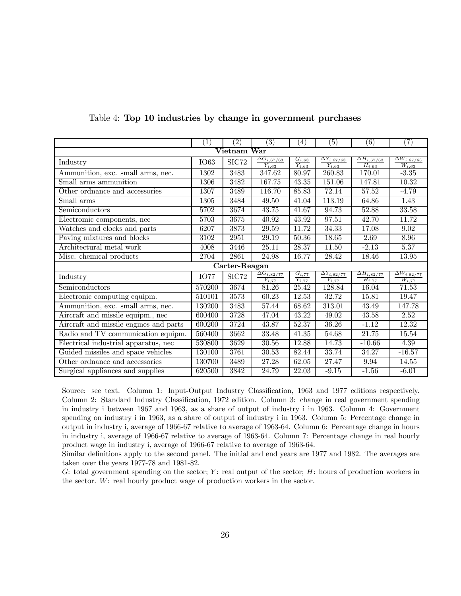|                                        | (1)         | (2)              | (3)                                                      | $\left( 4\right)$                              | $\left( 5\right)$                                        | (6)                                           | $\left( 7\right)$                             |  |  |  |  |
|----------------------------------------|-------------|------------------|----------------------------------------------------------|------------------------------------------------|----------------------------------------------------------|-----------------------------------------------|-----------------------------------------------|--|--|--|--|
| Vietnam War                            |             |                  |                                                          |                                                |                                                          |                                               |                                               |  |  |  |  |
| Industry                               | <b>IO63</b> | $\mathrm{SIC}72$ | $\overline{\Delta G_{i,67/63}}$<br>$\overline{Y_{i,63}}$ | $\overline{G_{i,63}}$<br>$\overline{Y_{i,63}}$ | $\overline{\Delta Y_{i,67/63}}$<br>$\overline{Y_{i,63}}$ | $\overline{\Delta H_{i,67/63}}$<br>$H_{i,63}$ | $\overline{\Delta W_{i,67/63}}$<br>$W_{i,63}$ |  |  |  |  |
| Ammunition, exc. small arms, nec.      | 1302        | 3483             | 347.62                                                   | 80.97                                          | 260.83                                                   | 170.01                                        | $-3.35$                                       |  |  |  |  |
| Small arms ammunition                  | 1306        | 3482             | 167.75                                                   | 43.35                                          | 151.06                                                   | 147.81                                        | 10.32                                         |  |  |  |  |
| Other ordnance and accessories         | 1307        | 3489             | 116.70                                                   | 85.83                                          | 72.14                                                    | 57.52                                         | $-4.79$                                       |  |  |  |  |
| Small arms                             | 1305        | 3484             | 49.50                                                    | 41.04                                          | 113.19                                                   | 64.86                                         | 1.43                                          |  |  |  |  |
| Semiconductors                         | 5702        | 3674             | 43.75                                                    | 41.67                                          | 94.73                                                    | 52.88                                         | $\overline{33.58}$                            |  |  |  |  |
| Electromic components, nec             | 5703        | 3675             | 40.92                                                    | 43.92                                          | 97.51                                                    | 42.70                                         | 11.72                                         |  |  |  |  |
| Watches and clocks and parts           | 6207        | 3873             | 29.59                                                    | 11.72                                          | 34.33                                                    | 17.08                                         | 9.02                                          |  |  |  |  |
| Paving mixtures and blocks             | 3102        | 2951             | 29.19                                                    | $\overline{50.36}$                             | 18.65                                                    | 2.69                                          | 8.96                                          |  |  |  |  |
| Architectural metal work               | 4008        | 3446             | 25.11                                                    | 28.37                                          | 11.50                                                    | $-2.13$                                       | 5.37                                          |  |  |  |  |
| Misc. chemical products                | 2704        | 2861             | 24.98                                                    | 16.77                                          | $\overline{2}8.42$                                       | 18.46                                         | 13.95                                         |  |  |  |  |
|                                        |             | Carter-Reagan    |                                                          |                                                |                                                          |                                               |                                               |  |  |  |  |
| Industry                               | <b>IO77</b> | SIC72            | $\overline{\Delta G_{i,82/77}}$<br>$Y_{i.77}$            | $\frac{G_{i,77}}{Y_{i,77}}$                    | $\Delta Y_{i,82/77}$<br>$Y_{i,77}$                       | $\overline{\Delta H_{i,82/77}}$<br>$H_{i,77}$ | $\overline{\Delta W_{i,82/77}}$<br>$W_{i,77}$ |  |  |  |  |
| Semiconductors                         | 570200      | 3674             | 81.26                                                    | 25.42                                          | 128.84                                                   | 16.04                                         | 71.53                                         |  |  |  |  |
| Electronic computing equipm.           | 510101      | 3573             | 60.23                                                    | 12.53                                          | 32.72                                                    | 15.81                                         | 19.47                                         |  |  |  |  |
| Ammunition, exc. small arms, nec.      | 130200      | 3483             | 57.44                                                    | 68.62                                          | 313.01                                                   | 43.49                                         | 147.78                                        |  |  |  |  |
| Aircraft and missile equipm., nec      | 600400      | 3728             | 47.04                                                    | 43.22                                          | 49.02                                                    | 43.58                                         | 2.52                                          |  |  |  |  |
| Aircraft and missile engines and parts | 600200      | 3724             | 43.87                                                    | 52.37                                          | 36.26                                                    | $-1.12$                                       | 12.32                                         |  |  |  |  |
| Radio and TV communication equipm.     | 560400      | 3662             | 33.48                                                    | $\overline{4}1.35$                             | 54.68                                                    | 21.75                                         | 15.54                                         |  |  |  |  |
| Electrical industrial apparatus, nec   | 530800      | 3629             | 30.56                                                    | 12.88                                          | 14.73                                                    | $-10.66$                                      | 4.39                                          |  |  |  |  |
| Guided missiles and space vehicles     | 130100      | 3761             | 30.53                                                    | 82.44                                          | 33.74                                                    | 34.27                                         | $-16.57$                                      |  |  |  |  |
| Other ordnance and accessories         | 130700      | 3489             | 27.28                                                    | 62.05                                          | 27.47                                                    | 9.94                                          | 14.55                                         |  |  |  |  |
| Surgical appliances and supplies       | 620500      | 3842             | 24.79                                                    | 22.03                                          | $-9.15$                                                  | $-1.56$                                       | $-6.01$                                       |  |  |  |  |

#### Table 4: Top 10 industries by change in government purchases

Source: see text. Column 1: Input-Output Industry Classification, 1963 and 1977 editions respectively. Column 2: Standard Industry Classification, 1972 edition. Column 3: change in real government spending in industry i between 1967 and 1963, as a share of output of industry i in 1963. Column 4: Government spending on industry i in 1963, as a share of output of industry i in 1963. Column 5: Percentage change in output in industry i, average of 1966-67 relative to average of 1963-64. Column 6: Percentage change in hours in industry i, average of 1966-67 relative to average of 1963-64. Column 7: Percentage change in real hourly product wage in industry i, average of 1966-67 relative to average of 1963-64.

Similar definitions apply to the second panel. The initial and end years are 1977 and 1982. The averages are taken over the years 1977-78 and 1981-82.

G: total government spending on the sector;  $Y$ : real output of the sector;  $H$ : hours of production workers in the sector. W: real hourly product wage of production workers in the sector.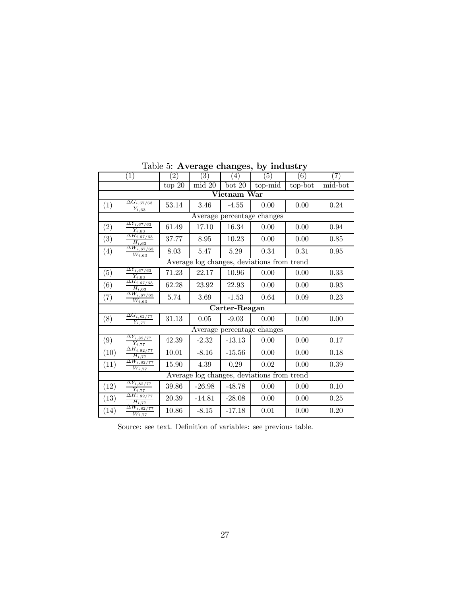|                  | (1)                                                               | $\left( 2\right)$ | $\left(3\right)$ | $\left(4\right)$ | (5)                                        | (6)     | (7)      |  |  |  |  |  |
|------------------|-------------------------------------------------------------------|-------------------|------------------|------------------|--------------------------------------------|---------|----------|--|--|--|--|--|
|                  |                                                                   | top $20\,$        | mid 20           | bot 20           | $top$ -mid                                 | top-bot | mid-bot  |  |  |  |  |  |
|                  |                                                                   |                   |                  | Vietnam War      |                                            |         |          |  |  |  |  |  |
| (1)              | $\overline{\Delta G_{i,67/63}}$<br>53.14<br>$\overline{Y_{i,63}}$ |                   | 3.46             | 0.00<br>$-4.55$  |                                            | 0.00    | 0.24     |  |  |  |  |  |
|                  |                                                                   |                   |                  |                  | Average percentage changes                 |         |          |  |  |  |  |  |
| (2)              | $\Delta Y_{i,\overline{67}/63}$<br>$\overline{Y_{i,63}}$          | 61.49             | 17.10            | 16.34            | 0.00                                       | 0.00    | 0.94     |  |  |  |  |  |
| $\left(3\right)$ | $\overline{\Delta H_{i,67/63}}$<br>$H_{i,63}$                     | 37.77             | 8.95             | 10.23            | 0.00                                       | 0.00    | 0.85     |  |  |  |  |  |
| (4)              | $\overline{\Delta W_{i\,,67/63}}$<br>$W_{i,63}$                   | 8.03              | 5.47             | 5.29             | 0.34                                       | 0.31    | 0.95     |  |  |  |  |  |
|                  | Average log changes, deviations from trend                        |                   |                  |                  |                                            |         |          |  |  |  |  |  |
| (5)              | $\overline{\Delta Y_{i,\bar{67}/63}}$<br>$\overline{Y_{i,63}}$    | 71.23             | 22.17            | 10.96            | 0.00                                       | 0.00    | 0.33     |  |  |  |  |  |
| (6)              | $\overline{\Delta H_{i,\overline{67}/63}}$<br>$H_{i,63}$          | 62.28             | 23.92            | 22.93            | 0.00                                       | 0.00    | 0.93     |  |  |  |  |  |
| (7)              | $\overline{\Delta W_{i,\overline{67}/63}}$<br>$W_{i,63}$          | 5.74              | 3.69             | $-1.53$          | 0.64                                       | 0.09    | 0.23     |  |  |  |  |  |
|                  | Carter-Reagan                                                     |                   |                  |                  |                                            |         |          |  |  |  |  |  |
| (8)              | $\overline{\Delta G_{i,82/77}}$<br>$\overline{Y_{i,77}}$          | 31.13             | 0.05             | $-9.03$          | 0.00                                       | 0.00    | 0.00     |  |  |  |  |  |
|                  |                                                                   |                   |                  |                  | Average percentage changes                 |         |          |  |  |  |  |  |
| (9)              | $\overline{\Delta Y_{i,82/77}}$<br>$\overline{Y_{i,77}}$          | 42.39             | $-2.32$          | $-13.13$         | 0.00                                       | 0.00    | $0.17\,$ |  |  |  |  |  |
| (10)             | $\overline{\Delta H_{i,82/77}}$<br>$\overline{H_{i.77}}$          | 10.01             | $-8.16$          | $-15.56$         | 0.00                                       | 0.00    | 0.18     |  |  |  |  |  |
| (11)             | $\overline{\Delta W_{i,82/77}}$<br>$\overline{W_{i,77}}$          | 15.90             | 4.39             | 0,29             | 0.02                                       | 0.00    | 0.39     |  |  |  |  |  |
|                  |                                                                   |                   |                  |                  | Average log changes, deviations from trend |         |          |  |  |  |  |  |
| (12)             | $\overline{\Delta Y_{i,82/77}}$<br>$\overline{Y_{i,77}}$          | 39.86             | $-26.98$         | $-48.78$         | 0.00                                       | 0.00    | $0.10\,$ |  |  |  |  |  |
| (13)             | $\overline{\Delta H_{i,82/77}}$<br>$\overline{H_i}$ ,77           | 20.39             | $-14.81$         | $-28.08$         | 0.00                                       | 0.00    | 0.25     |  |  |  |  |  |
| (14)             | $\overline{\Delta W_{i,82/77}}$<br>$\overline{W_{i,77}}$          | 10.86             | $-8.15$          | $-17.18$         | 0.01                                       | 0.00    | 0.20     |  |  |  |  |  |

Table 5: Average changes, by industry

Source: see text. Definition of variables: see previous table.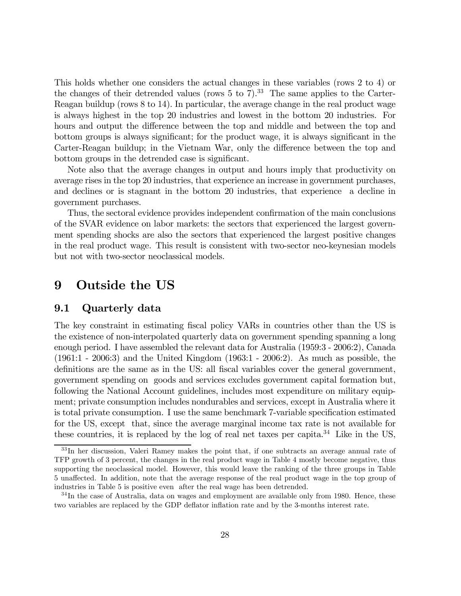This holds whether one considers the actual changes in these variables (rows 2 to 4) or the changes of their detrended values (rows  $5 \text{ to } 7$ ).<sup>33</sup> The same applies to the Carter-Reagan buildup (rows 8 to 14). In particular, the average change in the real product wage is always highest in the top 20 industries and lowest in the bottom 20 industries. For hours and output the difference between the top and middle and between the top and bottom groups is always significant; for the product wage, it is always significant in the Carter-Reagan buildup; in the Vietnam War, only the difference between the top and bottom groups in the detrended case is significant.

Note also that the average changes in output and hours imply that productivity on average rises in the top 20 industries, that experience an increase in government purchases, and declines or is stagnant in the bottom 20 industries, that experience a decline in government purchases.

Thus, the sectoral evidence provides independent confirmation of the main conclusions of the SVAR evidence on labor markets: the sectors that experienced the largest government spending shocks are also the sectors that experienced the largest positive changes in the real product wage. This result is consistent with two-sector neo-keynesian models but not with two-sector neoclassical models.

## 9 Outside the US

#### 9.1 Quarterly data

The key constraint in estimating fiscal policy VARs in countries other than the US is the existence of non-interpolated quarterly data on government spending spanning a long enough period. I have assembled the relevant data for Australia (1959:3 - 2006:2), Canada (1961:1 - 2006:3) and the United Kingdom (1963:1 - 2006:2). As much as possible, the definitions are the same as in the US: all fiscal variables cover the general government, government spending on goods and services excludes government capital formation but, following the National Account guidelines, includes most expenditure on military equipment; private consumption includes nondurables and services, except in Australia where it is total private consumption. I use the same benchmark 7-variable specification estimated for the US, except that, since the average marginal income tax rate is not available for these countries, it is replaced by the log of real net taxes per capita. $34$  Like in the US,

<sup>33</sup> In her discussion, Valeri Ramey makes the point that, if one subtracts an average annual rate of TFP growth of 3 percent, the changes in the real product wage in Table 4 mostly become negative, thus supporting the neoclassical model. However, this would leave the ranking of the three groups in Table 5 unaffected. In addition, note that the average response of the real product wage in the top group of industries in Table 5 is positive even after the real wage has been detrended.

 $34$ In the case of Australia, data on wages and employment are available only from 1980. Hence, these two variables are replaced by the GDP deflator inflation rate and by the 3-months interest rate.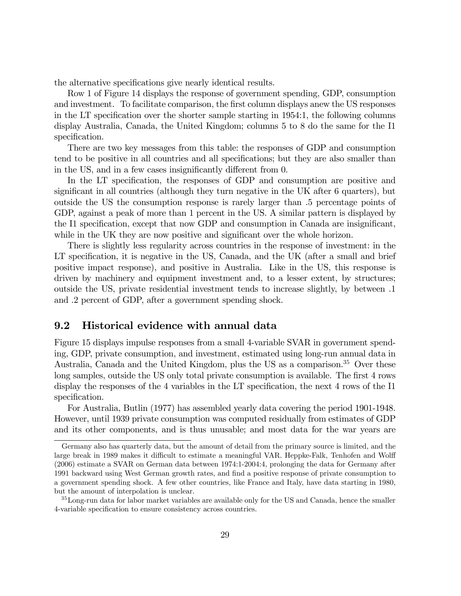the alternative specifications give nearly identical results.

Row 1 of Figure 14 displays the response of government spending, GDP, consumption and investment. To facilitate comparison, the first column displays anew the US responses in the LT specification over the shorter sample starting in 1954:1, the following columns display Australia, Canada, the United Kingdom; columns 5 to 8 do the same for the I1 specification.

There are two key messages from this table: the responses of GDP and consumption tend to be positive in all countries and all specifications; but they are also smaller than in the US, and in a few cases insignificantly different from 0.

In the LT specification, the responses of GDP and consumption are positive and significant in all countries (although they turn negative in the UK after 6 quarters), but outside the US the consumption response is rarely larger than .5 percentage points of GDP, against a peak of more than 1 percent in the US. A similar pattern is displayed by the I1 specification, except that now GDP and consumption in Canada are insignificant, while in the UK they are now positive and significant over the whole horizon.

There is slightly less regularity across countries in the response of investment: in the LT specification, it is negative in the US, Canada, and the UK (after a small and brief positive impact response), and positive in Australia. Like in the US, this response is driven by machinery and equipment investment and, to a lesser extent, by structures; outside the US, private residential investment tends to increase slightly, by between .1 and .2 percent of GDP, after a government spending shock.

#### 9.2 Historical evidence with annual data

Figure 15 displays impulse responses from a small 4-variable SVAR in government spending, GDP, private consumption, and investment, estimated using long-run annual data in Australia, Canada and the United Kingdom, plus the US as a comparison.<sup>35</sup> Over these long samples, outside the US only total private consumption is available. The first 4 rows display the responses of the 4 variables in the LT specification, the next 4 rows of the I1 specification.

For Australia, Butlin (1977) has assembled yearly data covering the period 1901-1948. However, until 1939 private consumption was computed residually from estimates of GDP and its other components, and is thus unusable; and most data for the war years are

Germany also has quarterly data, but the amount of detail from the primary source is limited, and the large break in 1989 makes it difficult to estimate a meaningful VAR. Heppke-Falk, Tenhofen and Wolff (2006) estimate a SVAR on German data between 1974:1-2004:4, prolonging the data for Germany after 1991 backward using West German growth rates, and find a positive response of private consumption to a government spending shock. A few other countries, like France and Italy, have data starting in 1980, but the amount of interpolation is unclear.

<sup>&</sup>lt;sup>35</sup>Long-run data for labor market variables are available only for the US and Canada, hence the smaller 4-variable specification to ensure consistency across countries.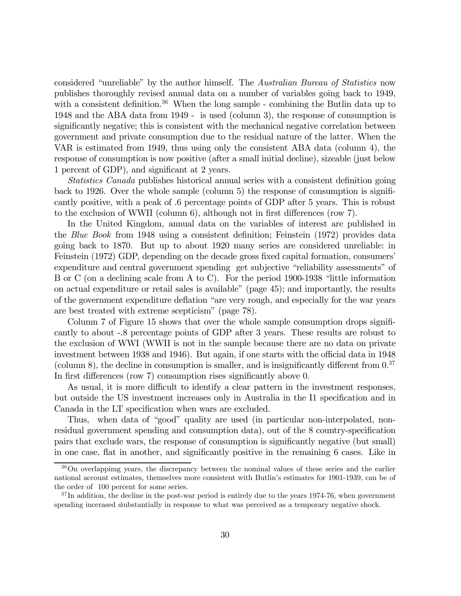considered "unreliable" by the author himself. The Australian Bureau of Statistics now publishes thoroughly revised annual data on a number of variables going back to 1949, with a consistent definition.<sup>36</sup> When the long sample - combining the Butlin data up to 1948 and the ABA data from 1949 - is used (column 3), the response of consumption is significantly negative; this is consistent with the mechanical negative correlation between government and private consumption due to the residual nature of the latter. When the VAR is estimated from 1949, thus using only the consistent ABA data (column 4), the response of consumption is now positive (after a small initial decline), sizeable (just below 1 percent of GDP), and significant at 2 years.

Statistics Canada publishes historical annual series with a consistent definition going back to 1926. Over the whole sample (column 5) the response of consumption is significantly positive, with a peak of .6 percentage points of GDP after 5 years. This is robust to the exclusion of WWII (column 6), although not in first differences (row 7).

In the United Kingdom, annual data on the variables of interest are published in the Blue Book from 1948 using a consistent definition; Feinstein (1972) provides data going back to 1870. But up to about 1920 many series are considered unreliable: in Feinstein (1972) GDP, depending on the decade gross fixed capital formation, consumers' expenditure and central government spending get subjective "reliability assessments" of B or C (on a declining scale from A to C). For the period 1900-1938 "little information on actual expenditure or retail sales is available" (page 45); and importantly, the results of the government expenditure deflation "are very rough, and especially for the war years are best treated with extreme scepticism" (page 78).

Column 7 of Figure 15 shows that over the whole sample consumption drops significantly to about -.8 percentage points of GDP after 3 years. These results are robust to the exclusion of WWI (WWII is not in the sample because there are no data on private investment between 1938 and 1946). But again, if one starts with the official data in 1948 (column 8), the decline in consumption is smaller, and is insignificantly different from  $0.37$ In first differences (row 7) consumption rises significantly above 0.

As usual, it is more difficult to identify a clear pattern in the investment responses, but outside the US investment increases only in Australia in the I1 specification and in Canada in the LT specification when wars are excluded.

Thus, when data of "good" quality are used (in particular non-interpolated, nonresidual government spending and consumption data), out of the 8 country-specification pairs that exclude wars, the response of consumption is significantly negative (but small) in one case, flat in another, and significantly positive in the remaining 6 cases. Like in

<sup>36</sup>On overlappimg years, the discrepancy between the nominal values of these series and the earlier national account estimates, themselves more consistent with Butlin's estimates for 1901-1939, can be of the order of 100 percent for some series.

 $37$  In addition, the decline in the post-war period is entirely due to the years 1974-76, when government spending incerased sìubstantially in response to what was perceived as a temporary negative shock.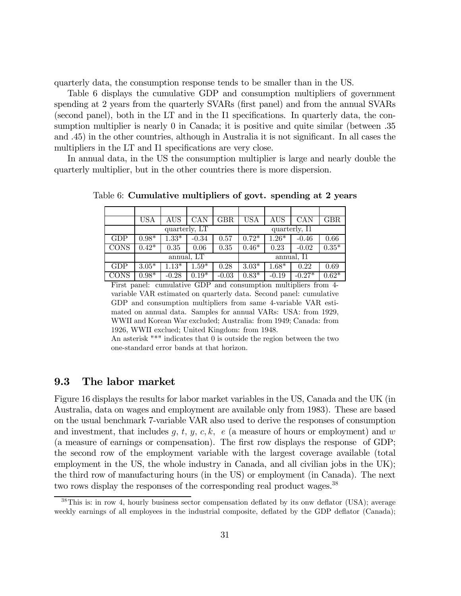quarterly data, the consumption response tends to be smaller than in the US.

Table 6 displays the cumulative GDP and consumption multipliers of government spending at 2 years from the quarterly SVARs (first panel) and from the annual SVARs (second panel), both in the LT and in the I1 specifications. In quarterly data, the consumption multiplier is nearly 0 in Canada; it is positive and quite similar (between .35 and .45) in the other countries, although in Australia it is not significant. In all cases the multipliers in the LT and I1 specifications are very close.

In annual data, in the US the consumption multiplier is large and nearly double the quarterly multiplier, but in the other countries there is more dispersion.

|             | USA           | AUS     | CAN        | $_{\rm GBR}$  | <b>USA</b> | AUS     | CAN      | GBR     |
|-------------|---------------|---------|------------|---------------|------------|---------|----------|---------|
|             | quarterly, LT |         |            | quarterly, I1 |            |         |          |         |
| GDP         | $0.98*$       | $1.33*$ | $-0.34$    | 0.57          | $0.72*$    | $1.26*$ | $-0.46$  | 0.66    |
| <b>CONS</b> | $0.42*$       | 0.35    | 0.06       | 0.35          | $0.46*$    | 0.23    | $-0.02$  | $0.35*$ |
|             |               |         | annual, LT |               | annual, I1 |         |          |         |
| GDP         | $3.05*$       | $1.13*$ | $1.59^{*}$ | 0.28          | $3.03*$    | $1.68*$ | 0.22     | 0.69    |
| <b>CONS</b> | $0.98*$       | $-0.28$ | $0.19*$    | $-0.03$       | $0.83*$    | $-0.19$ | $-0.27*$ | $0.62*$ |

Table 6: Cumulative multipliers of govt. spending at 2 years

First panel: cumulative GDP and consumption multipliers from 4 variable VAR estimated on quarterly data. Second panel: cumulative GDP and consumption multipliers from same 4-variable VAR estimated on annual data. Samples for annual VARs: USA: from 1929, WWII and Korean War excluded; Australia: from 1949; Canada: from 1926, WWII exclued; United Kingdom: from 1948.

An asterisk "\*" indicates that 0 is outside the region between the two one-standard error bands at that horizon.

### 9.3 The labor market

Figure 16 displays the results for labor market variables in the US, Canada and the UK (in Australia, data on wages and employment are available only from 1983). These are based on the usual benchmark 7-variable VAR also used to derive the responses of consumption and investment, that includes  $g, t, y, c, k, e$  (a measure of hours or employment) and w (a measure of earnings or compensation). The first row displays the response of GDP; the second row of the employment variable with the largest coverage available (total employment in the US, the whole industry in Canada, and all civilian jobs in the UK); the third row of manufacturing hours (in the US) or employment (in Canada). The next two rows display the responses of the corresponding real product wages.<sup>38</sup>

<sup>38</sup>This is: in row 4, hourly business sector compensation deflated by its onw deflator (USA); average weekly earnings of all employees in the industrial composite, deflated by the GDP deflator (Canada);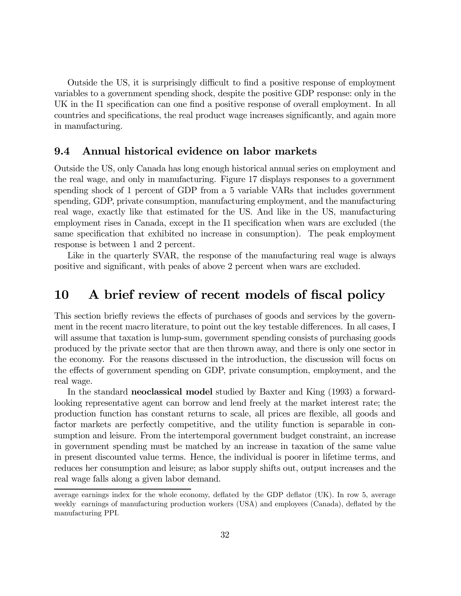Outside the US, it is surprisingly difficult to find a positive response of employment variables to a government spending shock, despite the positive GDP response: only in the UK in the I1 specification can one find a positive response of overall employment. In all countries and specifications, the real product wage increases significantly, and again more in manufacturing.

#### 9.4 Annual historical evidence on labor markets

Outside the US, only Canada has long enough historical annual series on employment and the real wage, and only in manufacturing. Figure 17 displays responses to a government spending shock of 1 percent of GDP from a 5 variable VARs that includes government spending, GDP, private consumption, manufacturing employment, and the manufacturing real wage, exactly like that estimated for the US. And like in the US, manufacturing employment rises in Canada, except in the I1 specification when wars are excluded (the same specification that exhibited no increase in consumption). The peak employment response is between 1 and 2 percent.

Like in the quarterly SVAR, the response of the manufacturing real wage is always positive and significant, with peaks of above 2 percent when wars are excluded.

## 10 A brief review of recent models of fiscal policy

This section briefly reviews the effects of purchases of goods and services by the government in the recent macro literature, to point out the key testable differences. In all cases, I will assume that taxation is lump-sum, government spending consists of purchasing goods produced by the private sector that are then thrown away, and there is only one sector in the economy. For the reasons discussed in the introduction, the discussion will focus on the effects of government spending on GDP, private consumption, employment, and the real wage.

In the standard **neoclassical model** studied by Baxter and King (1993) a forwardlooking representative agent can borrow and lend freely at the market interest rate; the production function has constant returns to scale, all prices are flexible, all goods and factor markets are perfectly competitive, and the utility function is separable in consumption and leisure. From the intertemporal government budget constraint, an increase in government spending must be matched by an increase in taxation of the same value in present discounted value terms. Hence, the individual is poorer in lifetime terms, and reduces her consumption and leisure; as labor supply shifts out, output increases and the real wage falls along a given labor demand.

average earnings index for the whole economy, deflated by the GDP deflator (UK). In row 5, average weekly earnings of manufacturing production workers (USA) and employees (Canada), deflated by the manufacturing PPI.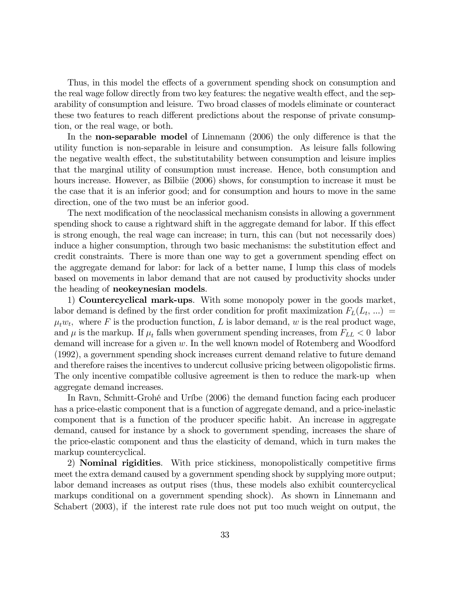Thus, in this model the effects of a government spending shock on consumption and the real wage follow directly from two key features: the negative wealth effect, and the separability of consumption and leisure. Two broad classes of models eliminate or counteract these two features to reach different predictions about the response of private consumption, or the real wage, or both.

In the non-separable model of Linnemann (2006) the only difference is that the utility function is non-separable in leisure and consumption. As leisure falls following the negative wealth effect, the substitutability between consumption and leisure implies that the marginal utility of consumption must increase. Hence, both consumption and hours increase. However, as Bilbiie (2006) shows, for consumption to increase it must be the case that it is an inferior good; and for consumption and hours to move in the same direction, one of the two must be an inferior good.

The next modification of the neoclassical mechanism consists in allowing a government spending shock to cause a rightward shift in the aggregate demand for labor. If this effect is strong enough, the real wage can increase; in turn, this can (but not necessarily does) induce a higher consumption, through two basic mechanisms: the substitution effect and credit constraints. There is more than one way to get a government spending effect on the aggregate demand for labor: for lack of a better name, I lump this class of models based on movements in labor demand that are not caused by productivity shocks under the heading of neokeynesian models.

1) Countercyclical mark-ups. With some monopoly power in the goods market, labor demand is defined by the first order condition for profit maximization  $F<sub>L</sub>(L<sub>t</sub>, ...)$  $\mu_t w_t$ , where F is the production function, L is labor demand, w is the real product wage, and  $\mu$  is the markup. If  $\mu_t$  falls when government spending increases, from  $F_{LL} < 0$  labor demand will increase for a given w. In the well known model of Rotemberg and Woodford (1992), a government spending shock increases current demand relative to future demand and therefore raises the incentives to undercut collusive pricing between oligopolistic firms. The only incentive compatible collusive agreement is then to reduce the mark-up when aggregate demand increases.

In Ravn, Schmitt-Grohé and Uríbe (2006) the demand function facing each producer has a price-elastic component that is a function of aggregate demand, and a price-inelastic component that is a function of the producer specific habit. An increase in aggregate demand, caused for instance by a shock to government spending, increases the share of the price-elastic component and thus the elasticity of demand, which in turn makes the markup countercyclical.

2) **Nominal rigidities**. With price stickiness, monopolistically competitive firms meet the extra demand caused by a government spending shock by supplying more output; labor demand increases as output rises (thus, these models also exhibit countercyclical markups conditional on a government spending shock). As shown in Linnemann and Schabert (2003), if the interest rate rule does not put too much weight on output, the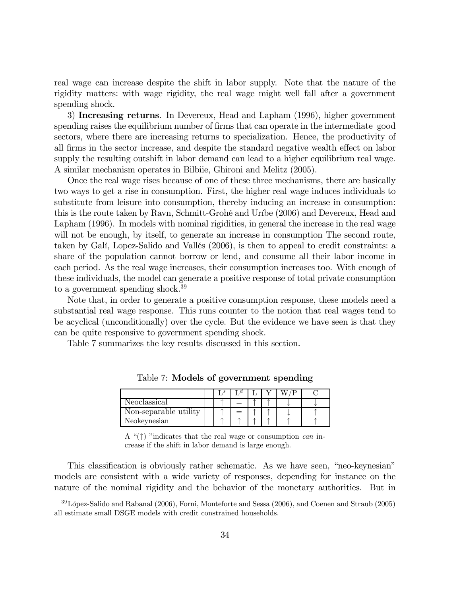real wage can increase despite the shift in labor supply. Note that the nature of the rigidity matters: with wage rigidity, the real wage might well fall after a government spending shock.

3) Increasing returns. In Devereux, Head and Lapham (1996), higher government spending raises the equilibrium number of firms that can operate in the intermediate good sectors, where there are increasing returns to specialization. Hence, the productivity of all firms in the sector increase, and despite the standard negative wealth effect on labor supply the resulting outshift in labor demand can lead to a higher equilibrium real wage. A similar mechanism operates in Bilbiie, Ghironi and Melitz (2005).

Once the real wage rises because of one of these three mechanisms, there are basically two ways to get a rise in consumption. First, the higher real wage induces individuals to substitute from leisure into consumption, thereby inducing an increase in consumption: this is the route taken by Ravn, Schmitt-Grohé and Uríbe (2006) and Devereux, Head and Lapham (1996). In models with nominal rigidities, in general the increase in the real wage will not be enough, by itself, to generate an increase in consumption The second route, taken by Galí, Lopez-Salido and Vallés (2006), is then to appeal to credit constraints: a share of the population cannot borrow or lend, and consume all their labor income in each period. As the real wage increases, their consumption increases too. With enough of these individuals, the model can generate a positive response of total private consumption to a government spending shock.<sup>39</sup>

Note that, in order to generate a positive consumption response, these models need a substantial real wage response. This runs counter to the notion that real wages tend to be acyclical (unconditionally) over the cycle. But the evidence we have seen is that they can be quite responsive to government spending shock.

Table 7 summarizes the key results discussed in this section.

|                       | . s |     |  |  |
|-----------------------|-----|-----|--|--|
| Neoclassical          |     | $=$ |  |  |
| Non-separable utility |     | $=$ |  |  |
| Neokeynesian          |     |     |  |  |

Table 7: Models of government spending

A " $(\uparrow)$ " indicates that the real wage or consumption *can* increase if the shift in labor demand is large enough.

This classification is obviously rather schematic. As we have seen, "neo-keynesian" models are consistent with a wide variety of responses, depending for instance on the nature of the nominal rigidity and the behavior of the monetary authorities. But in

<sup>39</sup>López-Salido and Rabanal (2006), Forni, Monteforte and Sessa (2006), and Coenen and Straub (2005) all estimate small DSGE models with credit constrained households.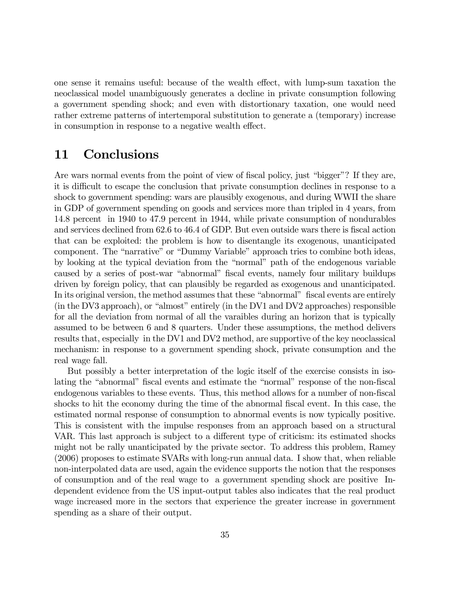one sense it remains useful: because of the wealth effect, with lump-sum taxation the neoclassical model unambiguously generates a decline in private consumption following a government spending shock; and even with distortionary taxation, one would need rather extreme patterns of intertemporal substitution to generate a (temporary) increase in consumption in response to a negative wealth effect.

## 11 Conclusions

Are wars normal events from the point of view of fiscal policy, just "bigger"? If they are, it is difficult to escape the conclusion that private consumption declines in response to a shock to government spending: wars are plausibly exogenous, and during WWII the share in GDP of government spending on goods and services more than tripled in 4 years, from 14.8 percent in 1940 to 47.9 percent in 1944, while private consumption of nondurables and services declined from 62.6 to 46.4 of GDP. But even outside wars there is fiscal action that can be exploited: the problem is how to disentangle its exogenous, unanticipated component. The "narrative" or "Dummy Variable" approach tries to combine both ideas, by looking at the typical deviation from the "normal" path of the endogenous variable caused by a series of post-war "abnormal" fiscal events, namely four military buildups driven by foreign policy, that can plausibly be regarded as exogenous and unanticipated. In its original version, the method assumes that these "abnormal" fiscal events are entirely (in the DV3 approach), or "almost" entirely (in the DV1 and DV2 approaches) responsible for all the deviation from normal of all the varaibles during an horizon that is typically assumed to be between 6 and 8 quarters. Under these assumptions, the method delivers results that, especially in the DV1 and DV2 method, are supportive of the key neoclassical mechanism: in response to a government spending shock, private consumption and the real wage fall.

But possibly a better interpretation of the logic itself of the exercise consists in isolating the "abnormal" fiscal events and estimate the "normal" response of the non-fiscal endogenous variables to these events. Thus, this method allows for a number of non-fiscal shocks to hit the economy during the time of the abnormal fiscal event. In this case, the estimated normal response of consumption to abnormal events is now typically positive. This is consistent with the impulse responses from an approach based on a structural VAR. This last approach is subject to a different type of criticism: its estimated shocks might not be rally unanticipated by the private sector. To address this problem, Ramey (2006) proposes to estimate SVARs with long-run annual data. I show that, when reliable non-interpolated data are used, again the evidence supports the notion that the responses of consumption and of the real wage to a government spending shock are positive Independent evidence from the US input-output tables also indicates that the real product wage increased more in the sectors that experience the greater increase in government spending as a share of their output.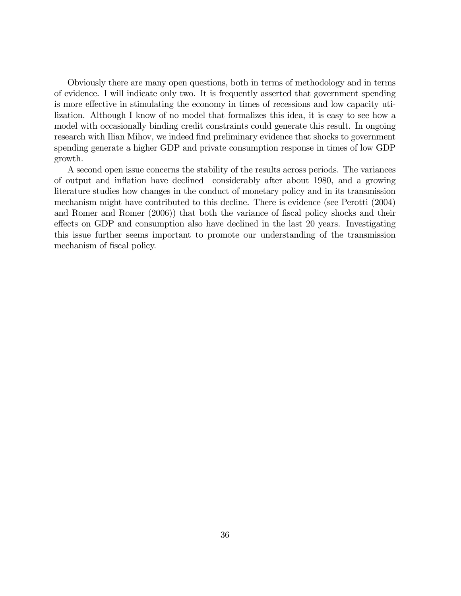Obviously there are many open questions, both in terms of methodology and in terms of evidence. I will indicate only two. It is frequently asserted that government spending is more effective in stimulating the economy in times of recessions and low capacity utilization. Although I know of no model that formalizes this idea, it is easy to see how a model with occasionally binding credit constraints could generate this result. In ongoing research with Ilian Mihov, we indeed find preliminary evidence that shocks to government spending generate a higher GDP and private consumption response in times of low GDP growth.

A second open issue concerns the stability of the results across periods. The variances of output and inflation have declined considerably after about 1980, and a growing literature studies how changes in the conduct of monetary policy and in its transmission mechanism might have contributed to this decline. There is evidence (see Perotti (2004) and Romer and Romer (2006)) that both the variance of fiscal policy shocks and their effects on GDP and consumption also have declined in the last 20 years. Investigating this issue further seems important to promote our understanding of the transmission mechanism of fiscal policy.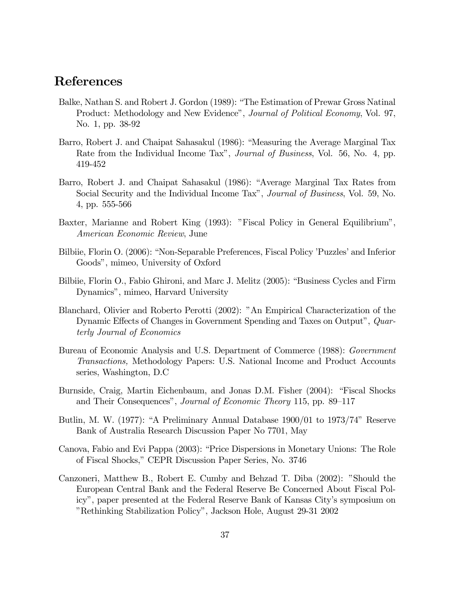# References

- Balke, Nathan S. and Robert J. Gordon (1989): "The Estimation of Prewar Gross Natinal Product: Methodology and New Evidence", Journal of Political Economy, Vol. 97, No. 1, pp. 38-92
- Barro, Robert J. and Chaipat Sahasakul (1986): "Measuring the Average Marginal Tax Rate from the Individual Income Tax", *Journal of Business*, Vol. 56, No. 4, pp. 419-452
- Barro, Robert J. and Chaipat Sahasakul (1986): "Average Marginal Tax Rates from Social Security and the Individual Income Tax", Journal of Business, Vol. 59, No. 4, pp. 555-566
- Baxter, Marianne and Robert King (1993): "Fiscal Policy in General Equilibrium", American Economic Review, June
- Bilbiie, Florin O. (2006): "Non-Separable Preferences, Fiscal Policy 'Puzzles' and Inferior Goods", mimeo, University of Oxford
- Bilbiie, Florin O., Fabio Ghironi, and Marc J. Melitz (2005): "Business Cycles and Firm Dynamics", mimeo, Harvard University
- Blanchard, Olivier and Roberto Perotti (2002): "An Empirical Characterization of the Dynamic Effects of Changes in Government Spending and Taxes on Output", Quarterly Journal of Economics
- Bureau of Economic Analysis and U.S. Department of Commerce (1988): Government Transactions, Methodology Papers: U.S. National Income and Product Accounts series, Washington, D.C
- Burnside, Craig, Martin Eichenbaum, and Jonas D.M. Fisher (2004): "Fiscal Shocks and Their Consequences", Journal of Economic Theory 115, pp. 89—117
- Butlin, M. W. (1977): "A Preliminary Annual Database 1900/01 to 1973/74" Reserve Bank of Australia Research Discussion Paper No 7701, May
- Canova, Fabio and Evi Pappa (2003): "Price Dispersions in Monetary Unions: The Role of Fiscal Shocks," CEPR Discussion Paper Series, No. 3746
- Canzoneri, Matthew B., Robert E. Cumby and Behzad T. Diba (2002): "Should the European Central Bank and the Federal Reserve Be Concerned About Fiscal Policy", paper presented at the Federal Reserve Bank of Kansas City's symposium on "Rethinking Stabilization Policy", Jackson Hole, August 29-31 2002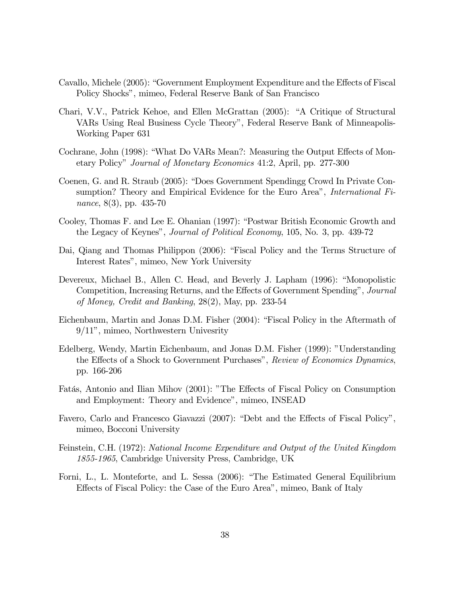- Cavallo, Michele (2005): "Government Employment Expenditure and the Effects of Fiscal Policy Shocks", mimeo, Federal Reserve Bank of San Francisco
- Chari, V.V., Patrick Kehoe, and Ellen McGrattan (2005): "A Critique of Structural VARs Using Real Business Cycle Theory", Federal Reserve Bank of Minneapolis-Working Paper 631
- Cochrane, John (1998): "What Do VARs Mean?: Measuring the Output Effects of Monetary Policy" Journal of Monetary Economics 41:2, April, pp. 277-300
- Coenen, G. and R. Straub (2005): "Does Government Spendingg Crowd In Private Consumption? Theory and Empirical Evidence for the Euro Area", International Finance, 8(3), pp. 435-70
- Cooley, Thomas F. and Lee E. Ohanian (1997): "Postwar British Economic Growth and the Legacy of Keynes", Journal of Political Economy, 105, No. 3, pp. 439-72
- Dai, Qiang and Thomas Philippon (2006): "Fiscal Policy and the Terms Structure of Interest Rates", mimeo, New York University
- Devereux, Michael B., Allen C. Head, and Beverly J. Lapham (1996): "Monopolistic Competition, Increasing Returns, and the Effects of Government Spending", Journal of Money, Credit and Banking, 28(2), May, pp. 233-54
- Eichenbaum, Martin and Jonas D.M. Fisher (2004): "Fiscal Policy in the Aftermath of 9/11", mimeo, Northwestern Univesrity
- Edelberg, Wendy, Martin Eichenbaum, and Jonas D.M. Fisher (1999): "Understanding the Effects of a Shock to Government Purchases", Review of Economics Dynamics, pp. 166-206
- Fatás, Antonio and Ilian Mihov (2001): "The Effects of Fiscal Policy on Consumption and Employment: Theory and Evidence", mimeo, INSEAD
- Favero, Carlo and Francesco Giavazzi (2007): "Debt and the Effects of Fiscal Policy", mimeo, Bocconi University
- Feinstein, C.H. (1972): National Income Expenditure and Output of the United Kingdom 1855-1965, Cambridge University Press, Cambridge, UK
- Forni, L., L. Monteforte, and L. Sessa (2006): "The Estimated General Equilibrium Effects of Fiscal Policy: the Case of the Euro Area", mimeo, Bank of Italy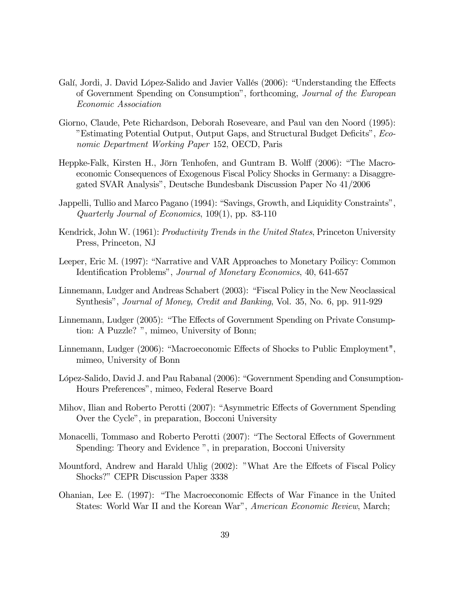- Galí, Jordi, J. David López-Salido and Javier Vallés (2006): "Understanding the Effects of Government Spending on Consumption", forthcoming, Journal of the European Economic Association
- Giorno, Claude, Pete Richardson, Deborah Roseveare, and Paul van den Noord (1995): "Estimating Potential Output, Output Gaps, and Structural Budget Deficits", Economic Department Working Paper 152, OECD, Paris
- Heppke-Falk, Kirsten H., Jörn Tenhofen, and Guntram B. Wolff (2006): "The Macroeconomic Consequences of Exogenous Fiscal Policy Shocks in Germany: a Disaggregated SVAR Analysis", Deutsche Bundesbank Discussion Paper No 41/2006
- Jappelli, Tullio and Marco Pagano (1994): "Savings, Growth, and Liquidity Constraints", Quarterly Journal of Economics, 109(1), pp. 83-110
- Kendrick, John W. (1961): Productivity Trends in the United States, Princeton University Press, Princeton, NJ
- Leeper, Eric M. (1997): "Narrative and VAR Approaches to Monetary Poilicy: Common Identification Problems", Journal of Monetary Economics, 40, 641-657
- Linnemann, Ludger and Andreas Schabert (2003): "Fiscal Policy in the New Neoclassical Synthesis", Journal of Money, Credit and Banking, Vol. 35, No. 6, pp. 911-929
- Linnemann, Ludger (2005): "The Effects of Government Spending on Private Consumption: A Puzzle? ", mimeo, University of Bonn;
- Linnemann, Ludger (2006): "Macroeconomic Effects of Shocks to Public Employment", mimeo, University of Bonn
- López-Salido, David J. and Pau Rabanal (2006): "Government Spending and Consumption-Hours Preferences", mimeo, Federal Reserve Board
- Mihov, Ilian and Roberto Perotti (2007): "Asymmetric Effects of Government Spending Over the Cycle", in preparation, Bocconi University
- Monacelli, Tommaso and Roberto Perotti (2007): "The Sectoral Effects of Government Spending: Theory and Evidence ", in preparation, Bocconi University
- Mountford, Andrew and Harald Uhlig (2002): "What Are the Effcets of Fiscal Policy Shocks?" CEPR Discussion Paper 3338
- Ohanian, Lee E. (1997): "The Macroeconomic Effects of War Finance in the United States: World War II and the Korean War", American Economic Review, March;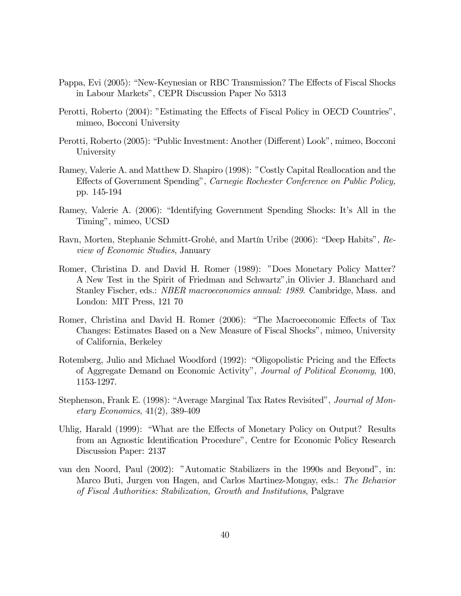- Pappa, Evi (2005): "New-Keynesian or RBC Transmission? The Effects of Fiscal Shocks in Labour Markets", CEPR Discussion Paper No 5313
- Perotti, Roberto (2004): "Estimating the Effects of Fiscal Policy in OECD Countries", mimeo, Bocconi University
- Perotti, Roberto (2005): "Public Investment: Another (Different) Look", mimeo, Bocconi University
- Ramey, Valerie A. and Matthew D. Shapiro (1998): "Costly Capital Reallocation and the Effects of Government Spending", Carnegie Rochester Conference on Public Policy, pp. 145-194
- Ramey, Valerie A. (2006): "Identifying Government Spending Shocks: It's All in the Timing", mimeo, UCSD
- Ravn, Morten, Stephanie Schmitt-Grohé, and Martín Uribe (2006): "Deep Habits", Review of Economic Studies, January
- Romer, Christina D. and David H. Romer (1989): "Does Monetary Policy Matter? A New Test in the Spirit of Friedman and Schwartz",in Olivier J. Blanchard and Stanley Fischer, eds.: NBER macroeconomics annual: 1989. Cambridge, Mass. and London: MIT Press, 121 70
- Romer, Christina and David H. Romer (2006): "The Macroeconomic Effects of Tax Changes: Estimates Based on a New Measure of Fiscal Shocks", mimeo, University of California, Berkeley
- Rotemberg, Julio and Michael Woodford (1992): "Oligopolistic Pricing and the Effects of Aggregate Demand on Economic Activity", Journal of Political Economy, 100, 1153-1297.
- Stephenson, Frank E. (1998): "Average Marginal Tax Rates Revisited", Journal of Monetary Economics, 41(2), 389-409
- Uhlig, Harald (1999): "What are the Effects of Monetary Policy on Output? Results from an Agnostic Identification Procedure", Centre for Economic Policy Research Discussion Paper: 2137
- van den Noord, Paul (2002): "Automatic Stabilizers in the 1990s and Beyond", in: Marco Buti, Jurgen von Hagen, and Carlos Martinez-Mongay, eds.: The Behavior of Fiscal Authorities: Stabilization, Growth and Institutions, Palgrave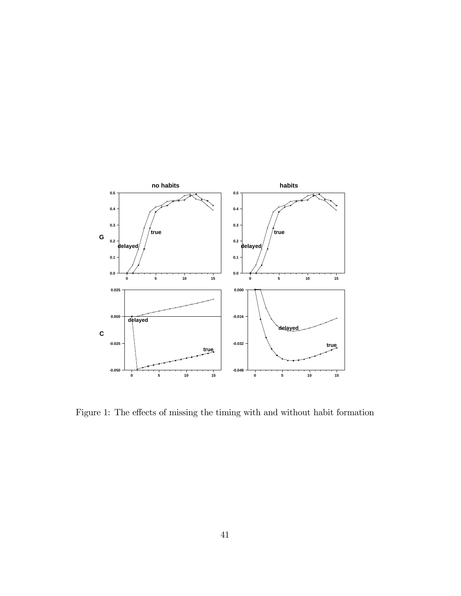

Figure 1: The effects of missing the timing with and without habit formation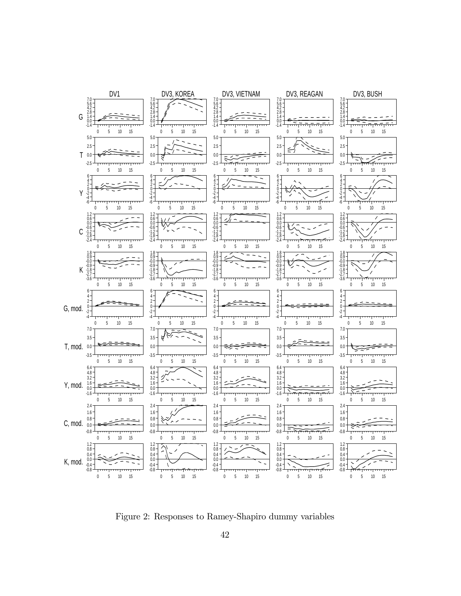

Figure 2: Responses to Ramey-Shapiro dummy variables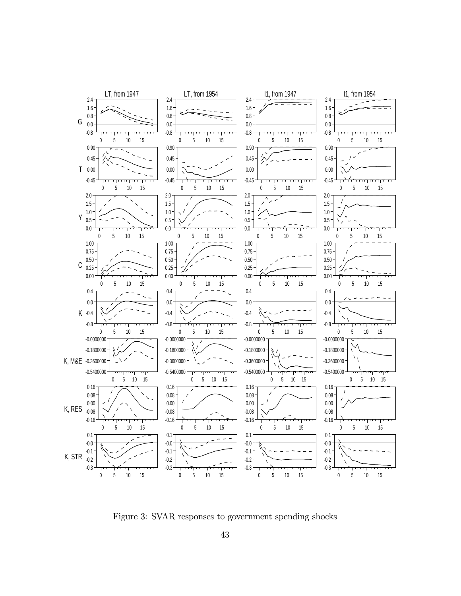

Figure 3: SVAR responses to government spending shocks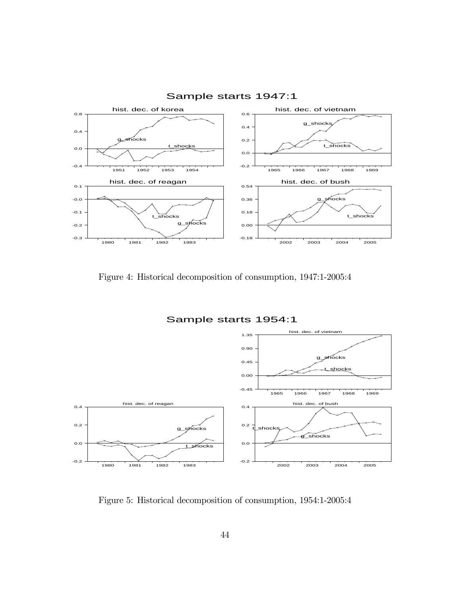

Figure 4: Historical decomposition of consumption, 1947:1-2005:4



Figure 5: Historical decomposition of consumption, 1954:1-2005:4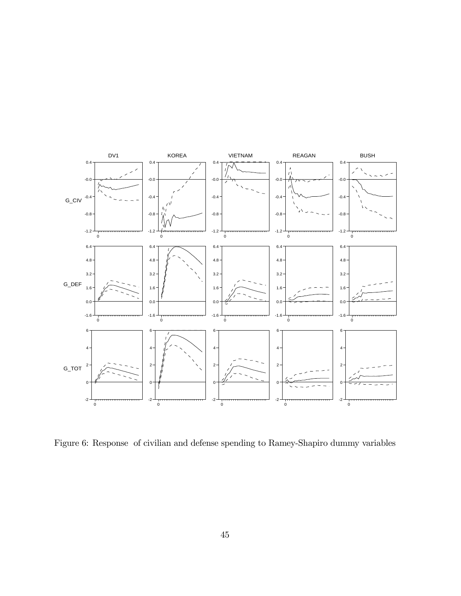

Figure 6: Response of civilian and defense spending to Ramey-Shapiro dummy variables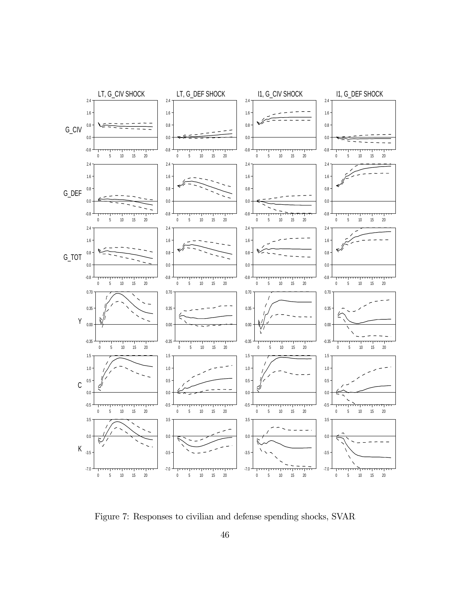

Figure 7: Responses to civilian and defense spending shocks, SVAR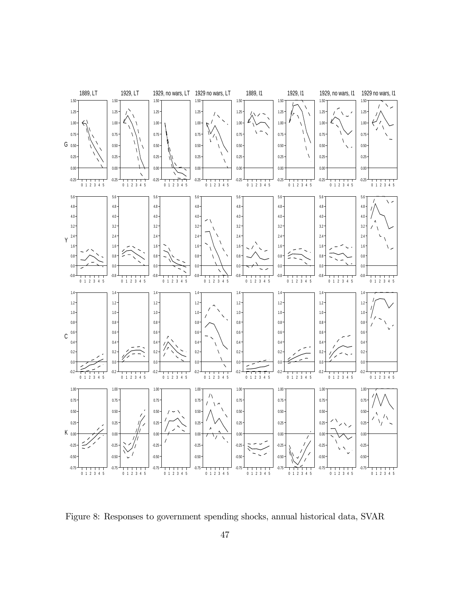

Figure 8: Responses to government spending shocks, annual historical data, SVAR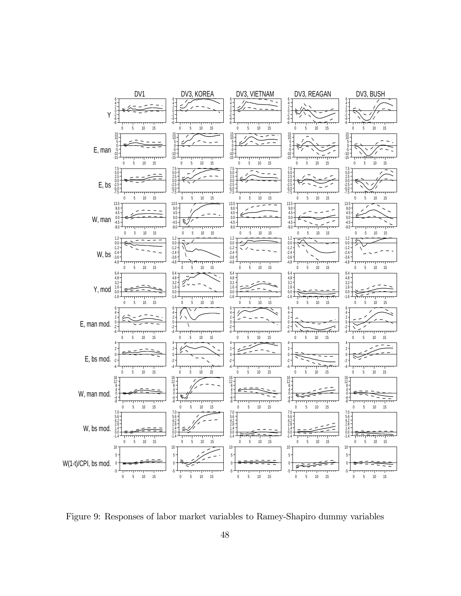

Figure 9: Responses of labor market variables to Ramey-Shapiro dummy variables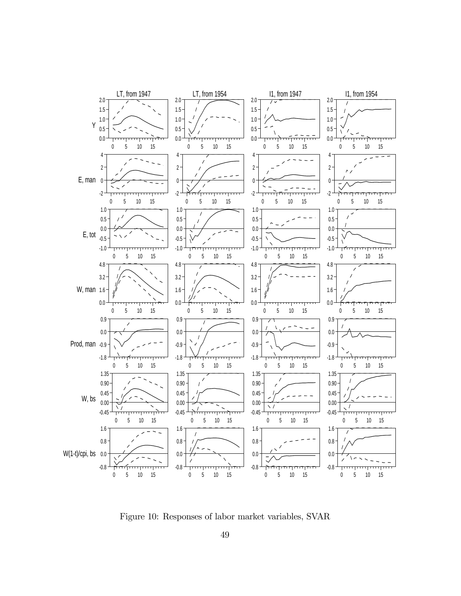

Figure 10: Responses of labor market variables, SVAR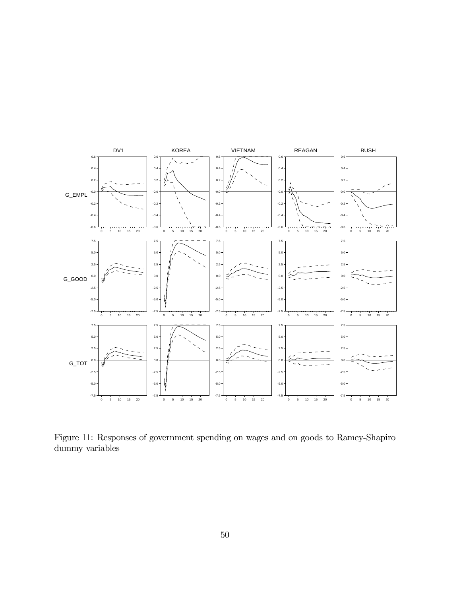

Figure 11: Responses of government spending on wages and on goods to Ramey-Shapiro dummy variables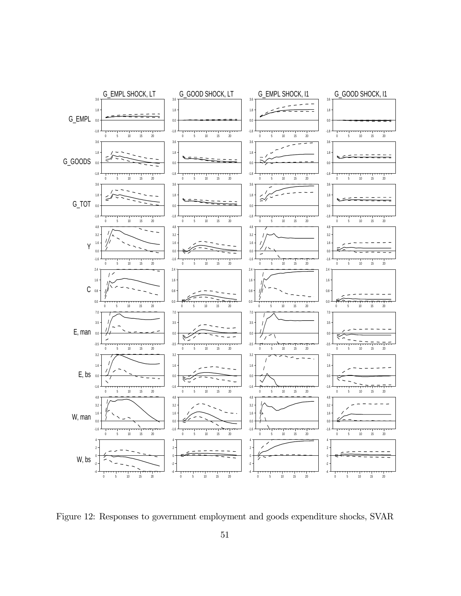

Figure 12: Responses to government employment and goods expenditure shocks, SVAR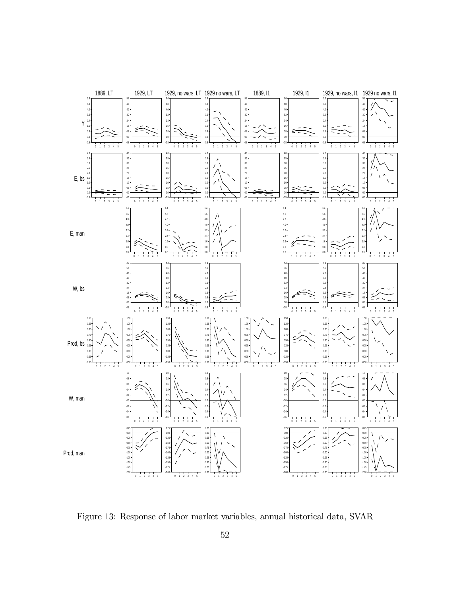

Figure 13: Response of labor market variables, annual historical data, SVAR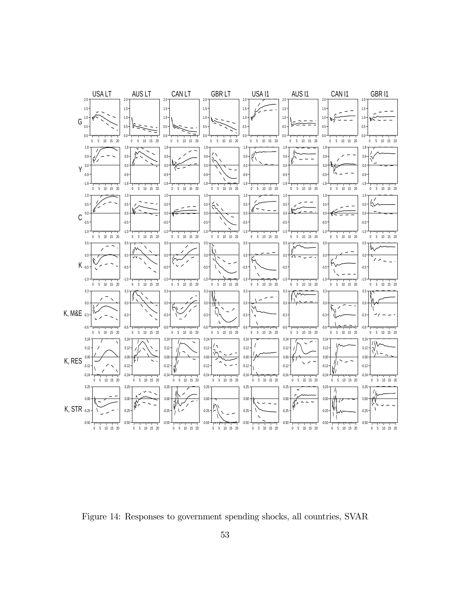

Figure 14: Responses to government spending shocks, all countries, SVAR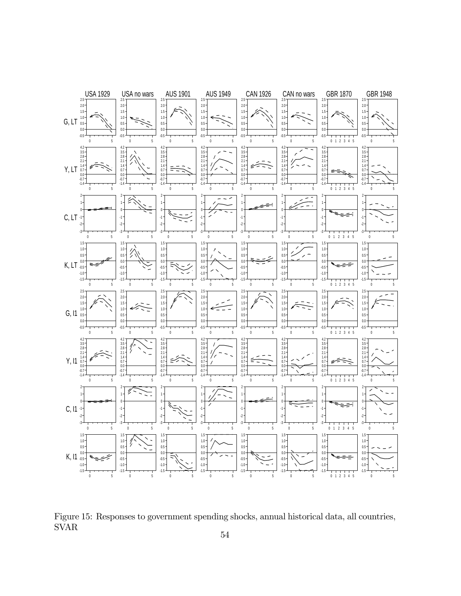

Figure 15: Responses to government spending shocks, annual historical data, all countries, SVAR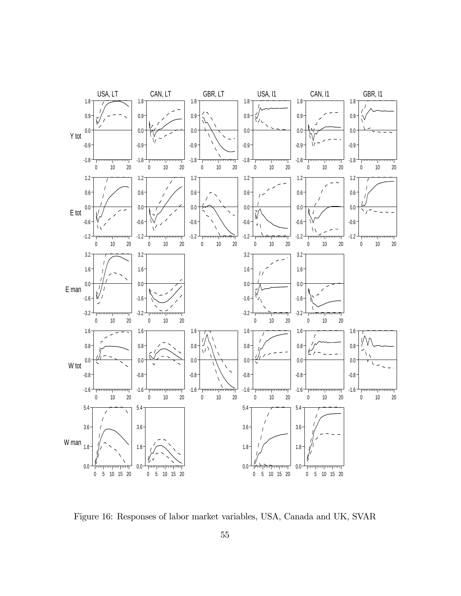

Figure 16: Responses of labor market variables, USA, Canada and UK, SVAR